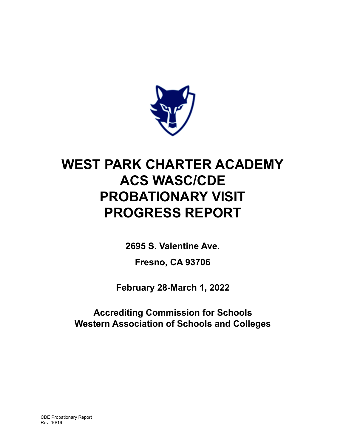

# **WEST PARK CHARTER ACADEMY ACS WASC/CDE PROBATIONARY VISIT PROGRESS REPORT**

**2695 S. Valentine Ave.**

**Fresno, CA 93706**

**February 28-March 1, 2022**

**Accrediting Commission for Schools Western Association of Schools and Colleges**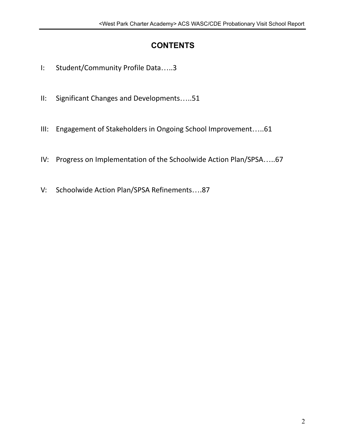# **CONTENTS**

- I: Student/Community Profile Data…..3
- II: Significant Changes and Developments…..51
- III: Engagement of Stakeholders in Ongoing School Improvement…..61
- IV: Progress on Implementation of the Schoolwide Action Plan/SPSA…..67
- V: Schoolwide Action Plan/SPSA Refinements….87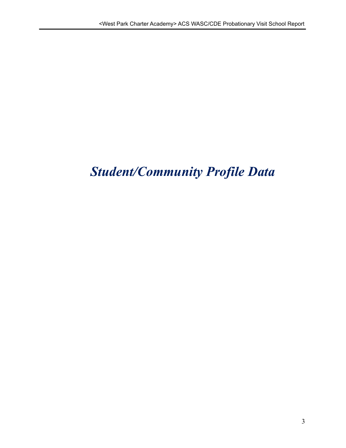# *Student/Community Profile Data*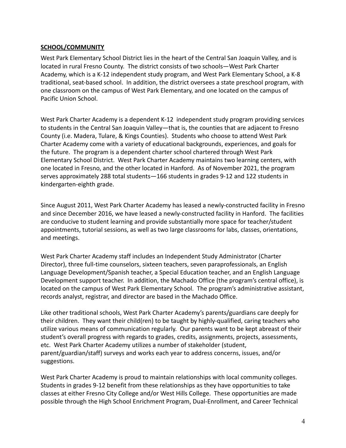#### **SCHOOL/COMMUNITY**

West Park Elementary School District lies in the heart of the Central San Joaquin Valley, and is located in rural Fresno County. The district consists of two schools—West Park Charter Academy, which is a K-12 independent study program, and West Park Elementary School, a K-8 traditional, seat-based school. In addition, the district oversees a state preschool program, with one classroom on the campus of West Park Elementary, and one located on the campus of Pacific Union School.

West Park Charter Academy is a dependent K-12 independent study program providing services to students in the Central San Joaquin Valley—that is, the counties that are adjacent to Fresno County (i.e. Madera, Tulare, & Kings Counties). Students who choose to attend West Park Charter Academy come with a variety of educational backgrounds, experiences, and goals for the future. The program is a dependent charter school chartered through West Park Elementary School District. West Park Charter Academy maintains two learning centers, with one located in Fresno, and the other located in Hanford. As of November 2021, the program serves approximately 288 total students—166 students in grades 9-12 and 122 students in kindergarten-eighth grade.

Since August 2011, West Park Charter Academy has leased a newly-constructed facility in Fresno and since December 2016, we have leased a newly-constructed facility in Hanford. The facilities are conducive to student learning and provide substantially more space for teacher/student appointments, tutorial sessions, as well as two large classrooms for labs, classes, orientations, and meetings.

West Park Charter Academy staff includes an Independent Study Administrator (Charter Director), three full-time counselors, sixteen teachers, seven paraprofessionals, an English Language Development/Spanish teacher, a Special Education teacher, and an English Language Development support teacher. In addition, the Machado Office (the program's central office), is located on the campus of West Park Elementary School. The program's administrative assistant, records analyst, registrar, and director are based in the Machado Office.

Like other traditional schools, West Park Charter Academy's parents/guardians care deeply for their children. They want their child(ren) to be taught by highly-qualified, caring teachers who utilize various means of communication regularly. Our parents want to be kept abreast of their student's overall progress with regards to grades, credits, assignments, projects, assessments, etc. West Park Charter Academy utilizes a number of stakeholder (student, parent/guardian/staff) surveys and works each year to address concerns, issues, and/or suggestions.

West Park Charter Academy is proud to maintain relationships with local community colleges. Students in grades 9-12 benefit from these relationships as they have opportunities to take classes at either Fresno City College and/or West Hills College. These opportunities are made possible through the High School Enrichment Program, Dual-Enrollment, and Career Technical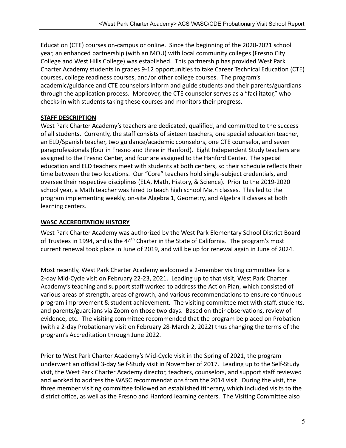Education (CTE) courses on-campus or online. Since the beginning of the 2020-2021 school year, an enhanced partnership (with an MOU) with local community colleges (Fresno City College and West Hills College) was established. This partnership has provided West Park Charter Academy students in grades 9-12 opportunities to take Career Technical Education (CTE) courses, college readiness courses, and/or other college courses. The program's academic/guidance and CTE counselors inform and guide students and their parents/guardians through the application process. Moreover, the CTE counselor serves as a "facilitator," who checks-in with students taking these courses and monitors their progress.

#### **STAFF DESCRIPTION**

West Park Charter Academy's teachers are dedicated, qualified, and committed to the success of all students. Currently, the staff consists of sixteen teachers, one special education teacher, an ELD/Spanish teacher, two guidance/academic counselors, one CTE counselor, and seven paraprofessionals (four in Fresno and three in Hanford). Eight Independent Study teachers are assigned to the Fresno Center, and four are assigned to the Hanford Center. The special education and ELD teachers meet with students at both centers, so their schedule reflects their time between the two locations. Our "Core" teachers hold single-subject credentials, and oversee their respective disciplines (ELA, Math, History, & Science). Prior to the 2019-2020 school year, a Math teacher was hired to teach high school Math classes. This led to the program implementing weekly, on-site Algebra 1, Geometry, and Algebra II classes at both learning centers.

#### **WASC ACCREDITATION HISTORY**

West Park Charter Academy was authorized by the West Park Elementary School District Board of Trustees in 1994, and is the  $44<sup>th</sup>$  Charter in the State of California. The program's most current renewal took place in June of 2019, and will be up for renewal again in June of 2024.

Most recently, West Park Charter Academy welcomed a 2-member visiting committee for a 2-day Mid-Cycle visit on February 22-23, 2021. Leading up to that visit, West Park Charter Academy's teaching and support staff worked to address the Action Plan, which consisted of various areas of strength, areas of growth, and various recommendations to ensure continuous program improvement & student achievement. The visiting committee met with staff, students, and parents/guardians via Zoom on those two days. Based on their observations, review of evidence, etc. The visiting committee recommended that the program be placed on Probation (with a 2-day Probationary visit on February 28-March 2, 2022) thus changing the terms of the program's Accreditation through June 2022.

Prior to West Park Charter Academy's Mid-Cycle visit in the Spring of 2021, the program underwent an official 3-day Self-Study visit in November of 2017. Leading up to the Self-Study visit, the West Park Charter Academy director, teachers, counselors, and support staff reviewed and worked to address the WASC recommendations from the 2014 visit. During the visit, the three member visiting committee followed an established itinerary, which included visits to the district office, as well as the Fresno and Hanford learning centers. The Visiting Committee also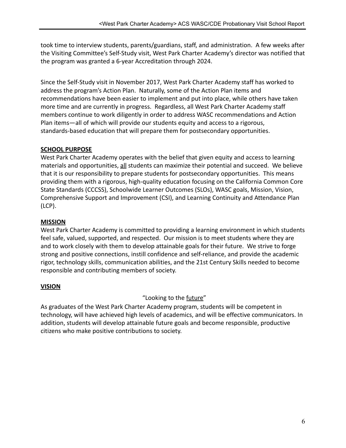took time to interview students, parents/guardians, staff, and administration. A few weeks after the Visiting Committee's Self-Study visit, West Park Charter Academy's director was notified that the program was granted a 6-year Accreditation through 2024.

Since the Self-Study visit in November 2017, West Park Charter Academy staff has worked to address the program's Action Plan. Naturally, some of the Action Plan items and recommendations have been easier to implement and put into place, while others have taken more time and are currently in progress. Regardless, all West Park Charter Academy staff members continue to work diligently in order to address WASC recommendations and Action Plan items—all of which will provide our students equity and access to a rigorous, standards-based education that will prepare them for postsecondary opportunities.

#### **SCHOOL PURPOSE**

West Park Charter Academy operates with the belief that given equity and access to learning materials and opportunities, all students can maximize their potential and succeed. We believe that it is our responsibility to prepare students for postsecondary opportunities. This means providing them with a rigorous, high-quality education focusing on the California Common Core State Standards (CCCSS), Schoolwide Learner Outcomes (SLOs), WASC goals, Mission, Vision, Comprehensive Support and Improvement (CSI), and Learning Continuity and Attendance Plan (LCP).

#### **MISSION**

West Park Charter Academy is committed to providing a learning environment in which students feel safe, valued, supported, and respected. Our mission is to meet students where they are and to work closely with them to develop attainable goals for their future. We strive to forge strong and positive connections, instill confidence and self-reliance, and provide the academic rigor, technology skills, communication abilities, and the 21st Century Skills needed to become responsible and contributing members of society.

#### **VISION**

#### "Looking to the future"

As graduates of the West Park Charter Academy program, students will be competent in technology, will have achieved high levels of academics, and will be effective communicators. In addition, students will develop attainable future goals and become responsible, productive citizens who make positive contributions to society.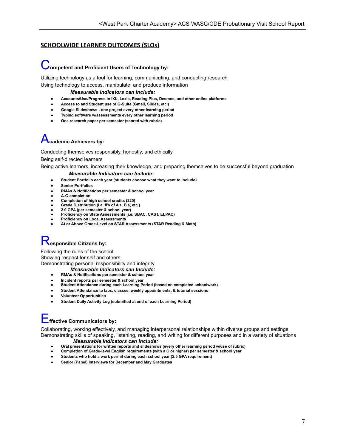#### **SCHOOLWIDE LEARNER OUTCOMES (SLOs)**

### Competent and Proficient Users of Technology by:

Utilizing technology as a tool for learning, communicating, and conducting research Using technology to access, manipulate, and produce information

*Measurable Indicators can Include:*

- **● Accounts/Use/Progress in IXL, Lexia, Reading Plus, Desmos, and other online platforms**
- **● Access to and Student use of G-Suite (Gmail, Slides, etc.)**
- **● Google Slideshows - one project every other learning period**
- **● Typing software w/assessments every other learning period**
- **● One research paper per semester (scored with rubric)**

## A**cademic Achievers by:**

Conducting themselves responsibly, honestly, and ethically

Being self-directed learners

Being active learners, increasing their knowledge, and preparing themselves to be successful beyond graduation

#### *Measurable Indicators can Include:*

- **● Student Portfolio each year (students choose what they want to include)**
- **● Senior Portfolios**
- **● RMAs & Notifications per semester & school year**
- **● A-G completion**
- **● Completion of high school credits (220)**
- **● Grade Distribution (i.e. #'s of A's, B's, etc.)**
- **● 2.0 GPA (per semester & school year)**
- **● Proficiency on State Assessments (i.e. SBAC, CAST, ELPAC)**
- **● Proficiency on Local Assessments**
- **● At or Above Grade-Level on STAR Assessments (STAR Reading & Math)**

# R**esponsible Citizens by:**

Following the rules of the school Showing respect for self and others Demonstrating personal responsibility and integrity

- *Measurable Indicators can Include:*
- **● RMAs & Notifications per semester & school year**
- **● Incident reports per semester & school year**
- **● Student Attendance during each Learning Period (based on completed schoolwork)**
- **● Student Attendance to labs, classes, weekly appointments, & tutorial sessions**
- **● Volunteer Opportunities**
- **● Student Daily Activity Log (submitted at end of each Learning Period)**

# E**ffective Communicators by:**

Collaborating, working effectively, and managing interpersonal relationships within diverse groups and settings Demonstrating skills of speaking, listening, reading, and writing for different purposes and in a variety of situations

- *Measurable Indicators can Include:*
- **● Oral presentations for written reports and slideshows (every other learning period w/use of rubric) ● Completion of Grade-level English requirements (with a C or higher) per semester & school year**
- 
- **● Students who hold a work permit during each school year (2.5 GPA requirement)**
- **● Senior (Panel) Interviews for December and May Graduates**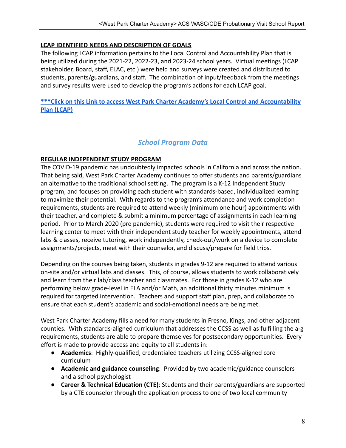#### **LCAP IDENTIFIED NEEDS AND DESCRIPTION OF GOALS**

The following LCAP information pertains to the Local Control and Accountability Plan that is being utilized during the 2021-22, 2022-23, and 2023-24 school years. Virtual meetings (LCAP stakeholder, Board, staff, ELAC, etc.) were held and surveys were created and distributed to students, parents/guardians, and staff. The combination of input/feedback from the meetings and survey results were used to develop the program's actions for each LCAP goal.

**[\\*\\*\\*Click on this Link to access West Park Charter Academy's Local Control and Accountability](https://www.westpark.k12.ca.us/Domain/146) [Plan \(LCAP\)](https://www.westpark.k12.ca.us/Domain/146)**

#### *School Program Data*

#### **REGULAR INDEPENDENT STUDY PROGRAM**

The COVID-19 pandemic has undoubtedly impacted schools in California and across the nation. That being said, West Park Charter Academy continues to offer students and parents/guardians an alternative to the traditional school setting. The program is a K-12 Independent Study program, and focuses on providing each student with standards-based, individualized learning to maximize their potential. With regards to the program's attendance and work completion requirements, students are required to attend weekly (minimum one hour) appointments with their teacher, and complete & submit a minimum percentage of assignments in each learning period. Prior to March 2020 (pre pandemic), students were required to visit their respective learning center to meet with their independent study teacher for weekly appointments, attend labs & classes, receive tutoring, work independently, check-out/work on a device to complete assignments/projects, meet with their counselor, and discuss/prepare for field trips.

Depending on the courses being taken, students in grades 9-12 are required to attend various on-site and/or virtual labs and classes. This, of course, allows students to work collaboratively and learn from their lab/class teacher and classmates. For those in grades K-12 who are performing below grade-level in ELA and/or Math, an additional thirty minutes minimum is required for targeted intervention. Teachers and support staff plan, prep, and collaborate to ensure that each student's academic and social-emotional needs are being met.

West Park Charter Academy fills a need for many students in Fresno, Kings, and other adjacent counties. With standards-aligned curriculum that addresses the CCSS as well as fulfilling the a-g requirements, students are able to prepare themselves for postsecondary opportunities. Every effort is made to provide access and equity to all students in:

- **Academics**: Highly-qualified, credentialed teachers utilizing CCSS-aligned core curriculum
- **Academic and guidance counseling**: Provided by two academic/guidance counselors and a school psychologist
- **Career & Technical Education (CTE)**: Students and their parents/guardians are supported by a CTE counselor through the application process to one of two local community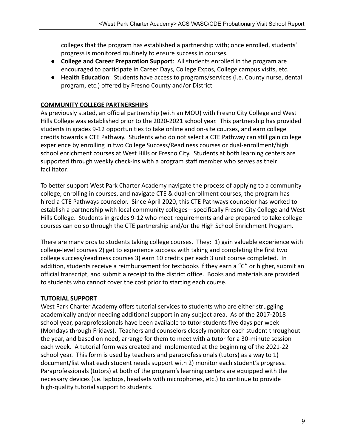colleges that the program has established a partnership with; once enrolled, students' progress is monitored routinely to ensure success in courses.

- **College and Career Preparation Support**: All students enrolled in the program are encouraged to participate in Career Days, College Expos, College campus visits, etc.
- **Health Education**: Students have access to programs/services (i.e. County nurse, dental program, etc.) offered by Fresno County and/or District

#### **COMMUNITY COLLEGE PARTNERSHIPS**

As previously stated, an official partnership (with an MOU) with Fresno City College and West Hills College was established prior to the 2020-2021 school year. This partnership has provided students in grades 9-12 opportunities to take online and on-site courses, and earn college credits towards a CTE Pathway. Students who do not select a CTE Pathway can still gain college experience by enrolling in two College Success/Readiness courses or dual-enrollment/high school enrichment courses at West Hills or Fresno City. Students at both learning centers are supported through weekly check-ins with a program staff member who serves as their facilitator.

To better support West Park Charter Academy navigate the process of applying to a community college, enrolling in courses, and navigate CTE & dual-enrollment courses, the program has hired a CTE Pathways counselor. Since April 2020, this CTE Pathways counselor has worked to establish a partnership with local community colleges—specifically Fresno City College and West Hills College. Students in grades 9-12 who meet requirements and are prepared to take college courses can do so through the CTE partnership and/or the High School Enrichment Program.

There are many pros to students taking college courses. They: 1) gain valuable experience with college-level courses 2) get to experience success with taking and completing the first two college success/readiness courses 3) earn 10 credits per each 3 unit course completed. In addition, students receive a reimbursement for textbooks if they earn a "C" or higher, submit an official transcript, and submit a receipt to the district office. Books and materials are provided to students who cannot cover the cost prior to starting each course.

#### **TUTORIAL SUPPORT**

West Park Charter Academy offers tutorial services to students who are either struggling academically and/or needing additional support in any subject area. As of the 2017-2018 school year, paraprofessionals have been available to tutor students five days per week (Mondays through Fridays). Teachers and counselors closely monitor each student throughout the year, and based on need, arrange for them to meet with a tutor for a 30-minute session each week. A tutorial form was created and implemented at the beginning of the 2021-22 school year. This form is used by teachers and paraprofessionals (tutors) as a way to 1) document/list what each student needs support with 2) monitor each student's progress. Paraprofessionals (tutors) at both of the program's learning centers are equipped with the necessary devices (i.e. laptops, headsets with microphones, etc.) to continue to provide high-quality tutorial support to students.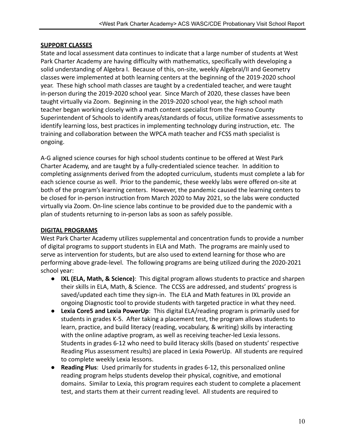#### **SUPPORT CLASSES**

State and local assessment data continues to indicate that a large number of students at West Park Charter Academy are having difficulty with mathematics, specifically with developing a solid understanding of Algebra I. Because of this, on-site, weekly AlgebraI/II and Geometry classes were implemented at both learning centers at the beginning of the 2019-2020 school year. These high school math classes are taught by a credentialed teacher, and were taught in-person during the 2019-2020 school year. Since March of 2020, these classes have been taught virtually via Zoom. Beginning in the 2019-2020 school year, the high school math teacher began working closely with a math content specialist from the Fresno County Superintendent of Schools to identify areas/standards of focus, utilize formative assessments to identify learning loss, best practices in implementing technology during instruction, etc. The training and collaboration between the WPCA math teacher and FCSS math specialist is ongoing.

A-G aligned science courses for high school students continue to be offered at West Park Charter Academy, and are taught by a fully-credentialed science teacher. In addition to completing assignments derived from the adopted curriculum, students must complete a lab for each science course as well. Prior to the pandemic, these weekly labs were offered on-site at both of the program's learning centers. However, the pandemic caused the learning centers to be closed for in-person instruction from March 2020 to May 2021, so the labs were conducted virtually via Zoom. On-line science labs continue to be provided due to the pandemic with a plan of students returning to in-person labs as soon as safely possible.

#### **DIGITAL PROGRAMS**

West Park Charter Academy utilizes supplemental and concentration funds to provide a number of digital programs to support students in ELA and Math. The programs are mainly used to serve as intervention for students, but are also used to extend learning for those who are performing above grade-level. The following programs are being utilized during the 2020-2021 school year:

- **IXL (ELA, Math, & Science)**: This digital program allows students to practice and sharpen their skills in ELA, Math, & Science. The CCSS are addressed, and students' progress is saved/updated each time they sign-in. The ELA and Math features in IXL provide an ongoing Diagnostic tool to provide students with targeted practice in what they need.
- **Lexia Core5 and Lexia PowerUp**: This digital ELA/reading program is primarily used for students in grades K-5. After taking a placement test, the program allows students to learn, practice, and build literacy (reading, vocabulary, & writing) skills by interacting with the online adaptive program, as well as receiving teacher-led Lexia lessons. Students in grades 6-12 who need to build literacy skills (based on students' respective Reading Plus assessment results) are placed in Lexia PowerUp. All students are required to complete weekly Lexia lessons.
- **Reading Plus**: Used primarily for students in grades 6-12, this personalized online reading program helps students develop their physical, cognitive, and emotional domains. Similar to Lexia, this program requires each student to complete a placement test, and starts them at their current reading level. All students are required to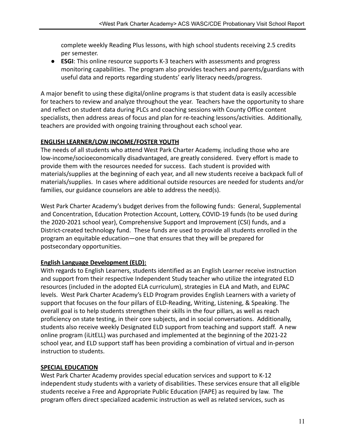complete weekly Reading Plus lessons, with high school students receiving 2.5 credits per semester.

● **ESGI**: This online resource supports K-3 teachers with assessments and progress monitoring capabilities. The program also provides teachers and parents/guardians with useful data and reports regarding students' early literacy needs/progress.

A major benefit to using these digital/online programs is that student data is easily accessible for teachers to review and analyze throughout the year. Teachers have the opportunity to share and reflect on student data during PLCs and coaching sessions with County Office content specialists, then address areas of focus and plan for re-teaching lessons/activities. Additionally, teachers are provided with ongoing training throughout each school year.

#### **ENGLISH LEARNER/LOW INCOME/FOSTER YOUTH**

The needs of all students who attend West Park Charter Academy, including those who are low-income/socioeconomically disadvantaged, are greatly considered. Every effort is made to provide them with the resources needed for success. Each student is provided with materials/supplies at the beginning of each year, and all new students receive a backpack full of materials/supplies. In cases where additional outside resources are needed for students and/or families, our guidance counselors are able to address the need(s).

West Park Charter Academy's budget derives from the following funds: General, Supplemental and Concentration, Education Protection Account, Lottery, COVID-19 funds (to be used during the 2020-2021 school year), Comprehensive Support and Improvement (CSI) funds, and a District-created technology fund. These funds are used to provide all students enrolled in the program an equitable education—one that ensures that they will be prepared for postsecondary opportunities.

#### **English Language Development (ELD):**

With regards to English Learners, students identified as an English Learner receive instruction and support from their respective Independent Study teacher who utilize the integrated ELD resources (included in the adopted ELA curriculum), strategies in ELA and Math, and ELPAC levels. West Park Charter Academy's ELD Program provides English Learners with a variety of support that focuses on the four pillars of ELD-Reading, Writing, Listening, & Speaking. The overall goal is to help students strengthen their skills in the four pillars, as well as reach proficiency on state testing, in their core subjects, and in social conversations. Additionally, students also receive weekly Designated ELD support from teaching and support staff. A new online program (iLitELL) was purchased and implemented at the beginning of the 2021-22 school year, and ELD support staff has been providing a combination of virtual and in-person instruction to students.

#### **SPECIAL EDUCATION**

West Park Charter Academy provides special education services and support to K-12 independent study students with a variety of disabilities. These services ensure that all eligible students receive a Free and Appropriate Public Education (FAPE) as required by law. The program offers direct specialized academic instruction as well as related services, such as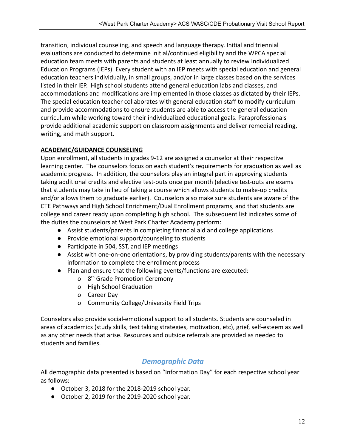transition, individual counseling, and speech and language therapy. Initial and triennial evaluations are conducted to determine initial/continued eligibility and the WPCA special education team meets with parents and students at least annually to review Individualized Education Programs (IEPs). Every student with an IEP meets with special education and general education teachers individually, in small groups, and/or in large classes based on the services listed in their IEP. High school students attend general education labs and classes, and accommodations and modifications are implemented in those classes as dictated by their IEPs. The special education teacher collaborates with general education staff to modify curriculum and provide accommodations to ensure students are able to access the general education curriculum while working toward their individualized educational goals. Paraprofessionals provide additional academic support on classroom assignments and deliver remedial reading, writing, and math support.

#### **ACADEMIC/GUIDANCE COUNSELING**

Upon enrollment, all students in grades 9-12 are assigned a counselor at their respective learning center. The counselors focus on each student's requirements for graduation as well as academic progress. In addition, the counselors play an integral part in approving students taking additional credits and elective test-outs once per month (elective test-outs are exams that students may take in lieu of taking a course which allows students to make-up credits and/or allows them to graduate earlier). Counselors also make sure students are aware of the CTE Pathways and High School Enrichment/Dual Enrollment programs, and that students are college and career ready upon completing high school. The subsequent list indicates some of the duties the counselors at West Park Charter Academy perform:

- Assist students/parents in completing financial aid and college applications
- Provide emotional support/counseling to students
- Participate in 504, SST, and IEP meetings
- Assist with one-on-one orientations, by providing students/parents with the necessary information to complete the enrollment process
- Plan and ensure that the following events/functions are executed:
	- o 8<sup>th</sup> Grade Promotion Ceremony
	- o High School Graduation
	- o Career Day
	- o Community College/University Field Trips

Counselors also provide social-emotional support to all students. Students are counseled in areas of academics (study skills, test taking strategies, motivation, etc), grief, self-esteem as well as any other needs that arise. Resources and outside referrals are provided as needed to students and families.

### *Demographic Data*

All demographic data presented is based on "Information Day" for each respective school year as follows:

- October 3, 2018 for the 2018-2019 school year.
- October 2, 2019 for the 2019-2020 school year.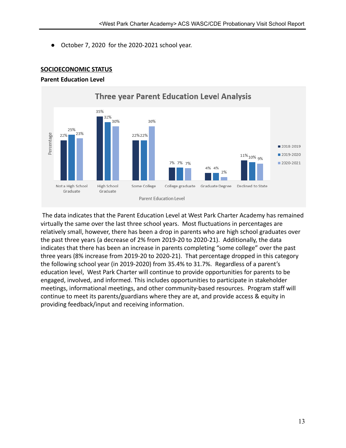● October 7, 2020 for the 2020-2021 school year.



#### **SOCIOECONOMIC STATUS**

#### **Parent Education Level**

The data indicates that the Parent Education Level at West Park Charter Academy has remained virtually the same over the last three school years. Most fluctuations in percentages are relatively small, however, there has been a drop in parents who are high school graduates over the past three years (a decrease of 2% from 2019-20 to 2020-21). Additionally, the data indicates that there has been an increase in parents completing "some college" over the past three years (8% increase from 2019-20 to 2020-21). That percentage dropped in this category the following school year (in 2019-2020) from 35.4% to 31.7%. Regardless of a parent's education level, West Park Charter will continue to provide opportunities for parents to be engaged, involved, and informed. This includes opportunities to participate in stakeholder meetings, informational meetings, and other community-based resources. Program staff will continue to meet its parents/guardians where they are at, and provide access & equity in providing feedback/input and receiving information.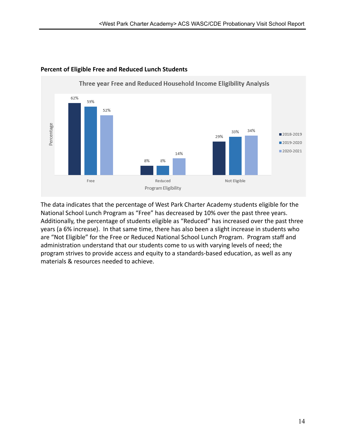

#### **Percent of Eligible Free and Reduced Lunch Students**

The data indicates that the percentage of West Park Charter Academy students eligible for the National School Lunch Program as "Free" has decreased by 10% over the past three years. Additionally, the percentage of students eligible as "Reduced" has increased over the past three years (a 6% increase). In that same time, there has also been a slight increase in students who are "Not Eligible" for the Free or Reduced National School Lunch Program. Program staff and administration understand that our students come to us with varying levels of need; the program strives to provide access and equity to a standards-based education, as well as any materials & resources needed to achieve.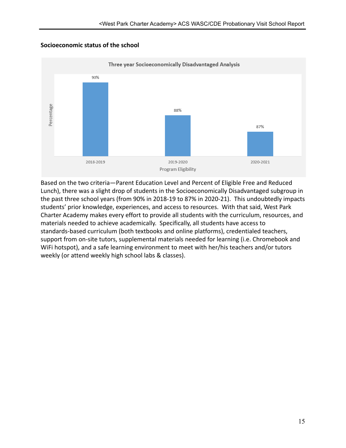#### **Socioeconomic status of the school**



Based on the two criteria—Parent Education Level and Percent of Eligible Free and Reduced Lunch), there was a slight drop of students in the Socioeconomically Disadvantaged subgroup in the past three school years (from 90% in 2018-19 to 87% in 2020-21). This undoubtedly impacts students' prior knowledge, experiences, and access to resources. With that said, West Park Charter Academy makes every effort to provide all students with the curriculum, resources, and materials needed to achieve academically. Specifically, all students have access to standards-based curriculum (both textbooks and online platforms), credentialed teachers, support from on-site tutors, supplemental materials needed for learning (i.e. Chromebook and WiFi hotspot), and a safe learning environment to meet with her/his teachers and/or tutors weekly (or attend weekly high school labs & classes).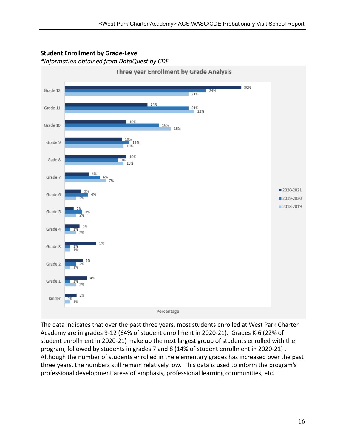

#### **Student Enrollment by Grade-Level**

*\*Information obtained from DataQuest by CDE*

The data indicates that over the past three years, most students enrolled at West Park Charter Academy are in grades 9-12 (64% of student enrollment in 2020-21). Grades K-6 (22% of student enrollment in 2020-21) make up the next largest group of students enrolled with the program, followed by students in grades 7 and 8 (14% of student enrollment in 2020-21) . Although the number of students enrolled in the elementary grades has increased over the past three years, the numbers still remain relatively low. This data is used to inform the program's professional development areas of emphasis, professional learning communities, etc.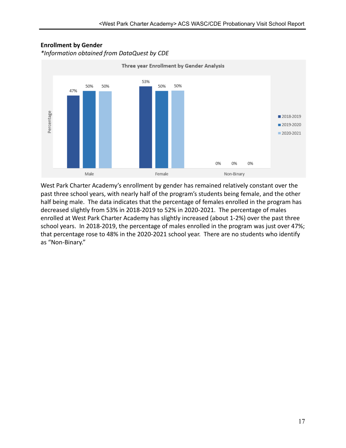

## **Enrollment by Gender**

*\*Information obtained from DataQuest by CDE*

West Park Charter Academy's enrollment by gender has remained relatively constant over the past three school years, with nearly half of the program's students being female, and the other half being male. The data indicates that the percentage of females enrolled in the program has decreased slightly from 53% in 2018-2019 to 52% in 2020-2021. The percentage of males enrolled at West Park Charter Academy has slightly increased (about 1-2%) over the past three school years. In 2018-2019, the percentage of males enrolled in the program was just over 47%; that percentage rose to 48% in the 2020-2021 school year. There are no students who identify as "Non-Binary."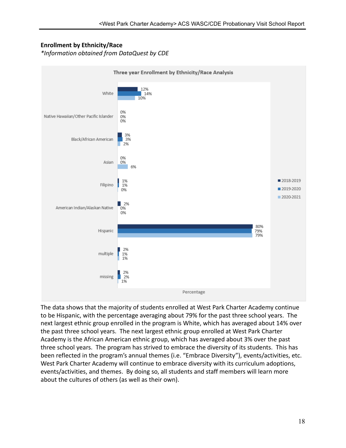#### **Enrollment by Ethnicity/Race**

*\*Information obtained from DataQuest by CDE*



The data shows that the majority of students enrolled at West Park Charter Academy continue to be Hispanic, with the percentage averaging about 79% for the past three school years. The next largest ethnic group enrolled in the program is White, which has averaged about 14% over the past three school years. The next largest ethnic group enrolled at West Park Charter Academy is the African American ethnic group, which has averaged about 3% over the past three school years. The program has strived to embrace the diversity of its students. This has been reflected in the program's annual themes (i.e. "Embrace Diversity"), events/activities, etc. West Park Charter Academy will continue to embrace diversity with its curriculum adoptions, events/activities, and themes. By doing so, all students and staff members will learn more about the cultures of others (as well as their own).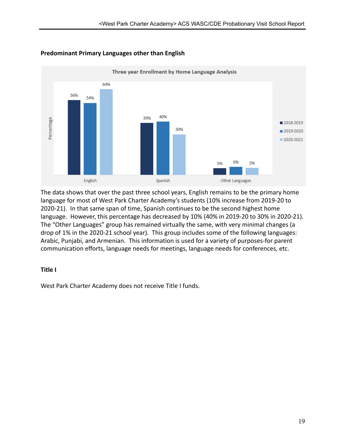

#### **Predominant Primary Languages other than English**

The data shows that over the past three school years, English remains to be the primary home language for most of West Park Charter Academy's students (10% increase from 2019-20 to 2020-21). In that same span of time, Spanish continues to be the second highest home language. However, this percentage has decreased by 10% (40% in 2019-20 to 30% in 2020-21). The "Other Languages" group has remained virtually the same, with very minimal changes (a drop of 1% in the 2020-21 school year). This group includes some of the following languages: Arabic, Punjabi, and Armenian. This information is used for a variety of purposes-for parent communication efforts, language needs for meetings, language needs for conferences, etc.

#### **Title I**

West Park Charter Academy does not receive Title I funds.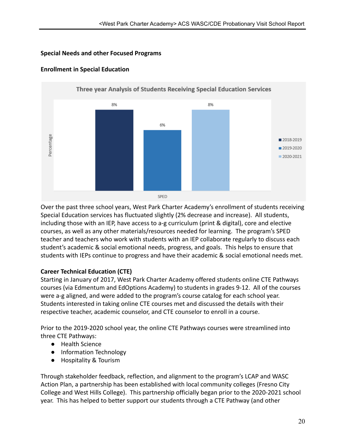#### **Special Needs and other Focused Programs**



#### **Enrollment in Special Education**

Over the past three school years, West Park Charter Academy's enrollment of students receiving Special Education services has fluctuated slightly (2% decrease and increase). All students, including those with an IEP, have access to a-g curriculum (print & digital), core and elective courses, as well as any other materials/resources needed for learning. The program's SPED teacher and teachers who work with students with an IEP collaborate regularly to discuss each student's academic & social emotional needs, progress, and goals. This helps to ensure that students with IEPs continue to progress and have their academic & social emotional needs met.

#### **Career Technical Education (CTE)**

Starting in January of 2017, West Park Charter Academy offered students online CTE Pathways courses (via Edmentum and EdOptions Academy) to students in grades 9-12. All of the courses were a-g aligned, and were added to the program's course catalog for each school year. Students interested in taking online CTE courses met and discussed the details with their respective teacher, academic counselor, and CTE counselor to enroll in a course.

Prior to the 2019-2020 school year, the online CTE Pathways courses were streamlined into three CTE Pathways:

- Health Science
- Information Technology
- Hospitality & Tourism

Through stakeholder feedback, reflection, and alignment to the program's LCAP and WASC Action Plan, a partnership has been established with local community colleges (Fresno City College and West Hills College). This partnership officially began prior to the 2020-2021 school year. This has helped to better support our students through a CTE Pathway (and other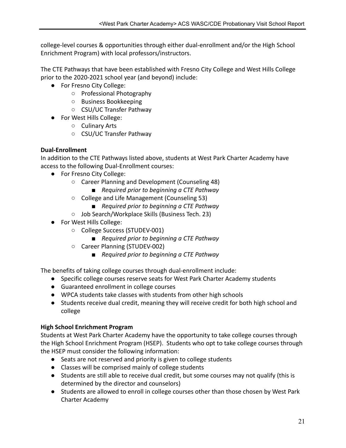college-level courses & opportunities through either dual-enrollment and/or the High School Enrichment Program) with local professors/instructors.

The CTE Pathways that have been established with Fresno City College and West Hills College prior to the 2020-2021 school year (and beyond) include:

- For Fresno City College:
	- Professional Photography
	- Business Bookkeeping
	- CSU/UC Transfer Pathway
- For West Hills College:
	- Culinary Arts
	- CSU/UC Transfer Pathway

#### **Dual-Enrollment**

In addition to the CTE Pathways listed above, students at West Park Charter Academy have access to the following Dual-Enrollment courses:

- For Fresno City College:
	- Career Planning and Development (Counseling 48)
		- *■ Required prior to beginning a CTE Pathway*
	- College and Life Management (Counseling 53)
		- *Required prior to beginning a CTE Pathway*
	- Job Search/Workplace Skills (Business Tech. 23)
- For West Hills College:
	- College Success (STUDEV-001)
		- *Required prior to beginning a CTE Pathway*
	- Career Planning (STUDEV-002)
		- *Required prior to beginning a CTE Pathway*

The benefits of taking college courses through dual-enrollment include:

- Specific college courses reserve seats for West Park Charter Academy students
- Guaranteed enrollment in college courses
- WPCA students take classes with students from other high schools
- Students receive dual credit, meaning they will receive credit for both high school and college

#### **High School Enrichment Program**

Students at West Park Charter Academy have the opportunity to take college courses through the High School Enrichment Program (HSEP). Students who opt to take college courses through the HSEP must consider the following information:

- Seats are not reserved and priority is given to college students
- Classes will be comprised mainly of college students
- Students are still able to receive dual credit, but some courses may not qualify (this is determined by the director and counselors)
- Students are allowed to enroll in college courses other than those chosen by West Park Charter Academy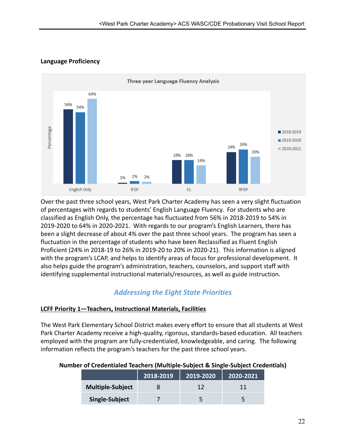



Over the past three school years, West Park Charter Academy has seen a very slight fluctuation of percentages with regards to students' English Language Fluency. For students who are classified as English Only, the percentage has fluctuated from 56% in 2018-2019 to 54% in 2019-2020 to 64% in 2020-2021. With regards to our program's English Learners, there has been a slight decrease of about 4% over the past three school years. The program has seen a fluctuation in the percentage of students who have been Reclassified as Fluent English Proficient (24% in 2018-19 to 26% in 2019-20 to 20% in 2020-21). This information is aligned with the program's LCAP, and helps to identify areas of focus for professional development. It also helps guide the program's administration, teachers, counselors, and support staff with identifying supplemental instructional materials/resources, as well as guide instruction.

#### *Addressing the Eight State Priorities*

#### **LCFF Priority 1—Teachers, Instructional Materials, Facilities**

The West Park Elementary School District makes every effort to ensure that all students at West Park Charter Academy receive a high-quality, rigorous, standards-based education. All teachers employed with the program are fully-credentialed, knowledgeable, and caring. The following information reflects the program's teachers for the past three school years.

|                         | 2018-2019 | 2019-2020 | 2020-2021 |
|-------------------------|-----------|-----------|-----------|
| <b>Multiple-Subject</b> |           |           |           |
| Single-Subject          |           |           |           |

#### **Number of Credentialed Teachers (Multiple-Subject & Single-Subject Credentials)**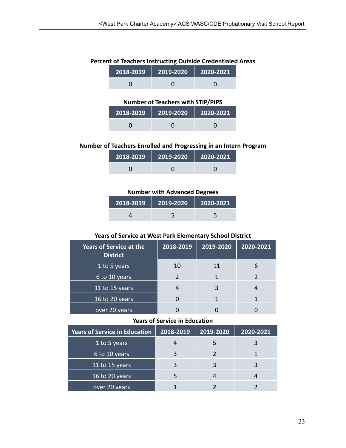#### **Percent of Teachers Instructing Outside Credentialed Areas**

| 2018-2019   2019-2020   2020-2021 |  |
|-----------------------------------|--|
|                                   |  |

#### **Number of Teachers with STIP/PIPS**

| <u> 2018-2019</u> | 2019-2020 | 2020-2021 |
|-------------------|-----------|-----------|
|                   |           |           |

#### **Number of Teachers Enrolled and Progressing in an Intern Program**

| 2018-2019 2019-2020 | $\parallel$ 2020-2021 |
|---------------------|-----------------------|
|                     |                       |

#### **Number with Advanced Degrees**

| 2018-2019 | $\vert$ 2019-2020 | $2020 - 2021$ |
|-----------|-------------------|---------------|
|           |                   |               |

#### **Years of Service at West Park Elementary School District**

| <b>Years of Service at the</b><br><b>District</b> | 2018-2019 | 2019-2020 | 2020-2021 |
|---------------------------------------------------|-----------|-----------|-----------|
| 1 to 5 years                                      | 10        | 11        |           |
| 6 to 10 years                                     |           |           |           |
| 11 to 15 years                                    |           |           |           |
| 16 to 20 years                                    |           |           |           |
| over 20 years                                     |           |           |           |

#### **Years of Service in Education**

| <b>Years of Service in Education</b> | 2018-2019 | 2019-2020 | 2020-2021 |
|--------------------------------------|-----------|-----------|-----------|
| 1 to 5 years                         |           |           |           |
| 6 to 10 years                        |           |           |           |
| 11 to 15 years                       | ς         |           |           |
| 16 to 20 years                       |           |           |           |
| over 20 years                        |           |           |           |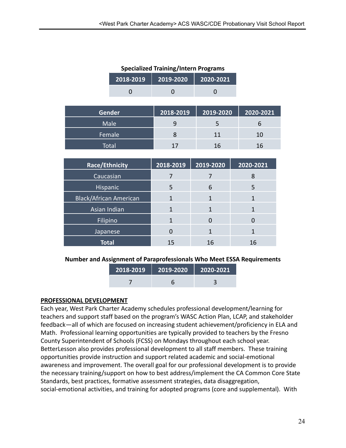| <b>Specialized Training/Intern Programs</b> |               |           |           |           |
|---------------------------------------------|---------------|-----------|-----------|-----------|
|                                             | 2018-2019     | 2019-2020 | 2020-2021 |           |
|                                             |               |           |           |           |
|                                             |               |           |           |           |
|                                             | <b>Gender</b> | 2018-2019 | 2019-2020 | 2020-2021 |
|                                             | Male          | 9         | 5         | 6         |
|                                             | Female        | 8         | 11        | 10        |

Total 17 16 16

| <b>Race/Ethnicity</b>         | 2018-2019 | 2019-2020 | 2020-2021 |
|-------------------------------|-----------|-----------|-----------|
| Caucasian                     |           |           | 8         |
| <b>Hispanic</b>               | 5         | 6         | 5         |
| <b>Black/African American</b> | 1         |           |           |
| Asian Indian                  | 1         |           |           |
| Filipino                      | 1         |           |           |
| Japanese                      | 0         |           |           |
| <b>Total</b>                  | 15        | 16        | 16        |

#### **Number and Assignment of Paraprofessionals Who Meet ESSA Requirements**

| 2018-2019 | $\blacksquare$ 2019-2020 | $\parallel$ 2020-2021 |
|-----------|--------------------------|-----------------------|
|           |                          |                       |

#### **PROFESSIONAL DEVELOPMENT**

Each year, West Park Charter Academy schedules professional development/learning for teachers and support staff based on the program's WASC Action Plan, LCAP, and stakeholder feedback—all of which are focused on increasing student achievement/proficiency in ELA and Math. Professional learning opportunities are typically provided to teachers by the Fresno County Superintendent of Schools (FCSS) on Mondays throughout each school year. BetterLesson also provides professional development to all staff members. These training opportunities provide instruction and support related academic and social-emotional awareness and improvement. The overall goal for our professional development is to provide the necessary training/support on how to best address/implement the CA Common Core State Standards, best practices, formative assessment strategies, data disaggregation, social-emotional activities, and training for adopted programs (core and supplemental). With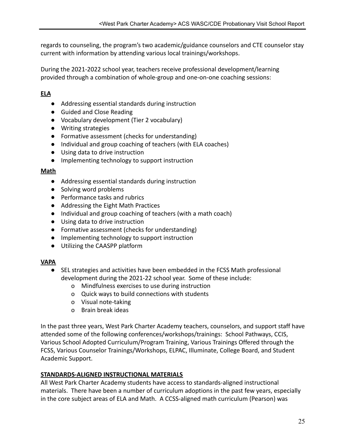regards to counseling, the program's two academic/guidance counselors and CTE counselor stay current with information by attending various local trainings/workshops.

During the 2021-2022 school year, teachers receive professional development/learning provided through a combination of whole-group and one-on-one coaching sessions:

#### **ELA**

- Addressing essential standards during instruction
- Guided and Close Reading
- Vocabulary development (Tier 2 vocabulary)
- Writing strategies
- Formative assessment (checks for understanding)
- Individual and group coaching of teachers (with ELA coaches)
- Using data to drive instruction
- Implementing technology to support instruction

#### **Math**

- Addressing essential standards during instruction
- Solving word problems
- Performance tasks and rubrics
- Addressing the Eight Math Practices
- Individual and group coaching of teachers (with a math coach)
- Using data to drive instruction
- Formative assessment (checks for understanding)
- Implementing technology to support instruction
- Utilizing the CAASPP platform

#### **VAPA**

- SEL strategies and activities have been embedded in the FCSS Math professional development during the 2021-22 school year. Some of these include:
	- o Mindfulness exercises to use during instruction
	- o Quick ways to build connections with students
	- o Visual note-taking
	- o Brain break ideas

In the past three years, West Park Charter Academy teachers, counselors, and support staff have attended some of the following conferences/workshops/trainings: School Pathways, CCIS, Various School Adopted Curriculum/Program Training, Various Trainings Offered through the FCSS, Various Counselor Trainings/Workshops, ELPAC, Illuminate, College Board, and Student Academic Support.

#### **STANDARDS-ALIGNED INSTRUCTIONAL MATERIALS**

All West Park Charter Academy students have access to standards-aligned instructional materials. There have been a number of curriculum adoptions in the past few years, especially in the core subject areas of ELA and Math. A CCSS-aligned math curriculum (Pearson) was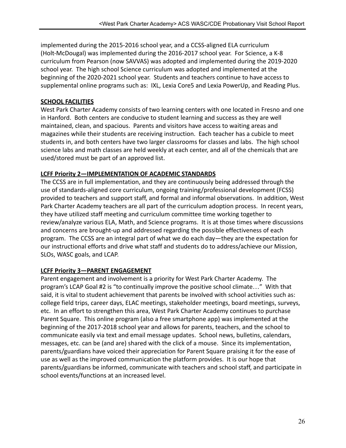implemented during the 2015-2016 school year, and a CCSS-aligned ELA curriculum (Holt-McDougal) was implemented during the 2016-2017 school year. For Science, a K-8 curriculum from Pearson (now SAVVAS) was adopted and implemented during the 2019-2020 school year. The high school Science curriculum was adopted and implemented at the beginning of the 2020-2021 school year. Students and teachers continue to have access to supplemental online programs such as: IXL, Lexia Core5 and Lexia PowerUp, and Reading Plus.

#### **SCHOOL FACILITIES**

West Park Charter Academy consists of two learning centers with one located in Fresno and one in Hanford. Both centers are conducive to student learning and success as they are well maintained, clean, and spacious. Parents and visitors have access to waiting areas and magazines while their students are receiving instruction. Each teacher has a cubicle to meet students in, and both centers have two larger classrooms for classes and labs. The high school science labs and math classes are held weekly at each center, and all of the chemicals that are used/stored must be part of an approved list.

#### **LCFF Priority 2—IMPLEMENTATION OF ACADEMIC STANDARDS**

The CCSS are in full implementation, and they are continuously being addressed through the use of standards-aligned core curriculum, ongoing training/professional development (FCSS) provided to teachers and support staff, and formal and informal observations. In addition, West Park Charter Academy teachers are all part of the curriculum adoption process. In recent years, they have utilized staff meeting and curriculum committee time working together to review/analyze various ELA, Math, and Science programs. It is at those times where discussions and concerns are brought-up and addressed regarding the possible effectiveness of each program. The CCSS are an integral part of what we do each day—they are the expectation for our instructional efforts and drive what staff and students do to address/achieve our Mission, SLOs, WASC goals, and LCAP.

#### **LCFF Priority 3—PARENT ENGAGEMENT**

Parent engagement and involvement is a priority for West Park Charter Academy. The program's LCAP Goal #2 is "to continually improve the positive school climate…" With that said, it is vital to student achievement that parents be involved with school activities such as: college field trips, career days, ELAC meetings, stakeholder meetings, board meetings, surveys, etc. In an effort to strengthen this area, West Park Charter Academy continues to purchase Parent Square. This online program (also a free smartphone app) was implemented at the beginning of the 2017-2018 school year and allows for parents, teachers, and the school to communicate easily via text and email message updates. School news, bulletins, calendars, messages, etc. can be (and are) shared with the click of a mouse. Since its implementation, parents/guardians have voiced their appreciation for Parent Square praising it for the ease of use as well as the improved communication the platform provides. It is our hope that parents/guardians be informed, communicate with teachers and school staff, and participate in school events/functions at an increased level.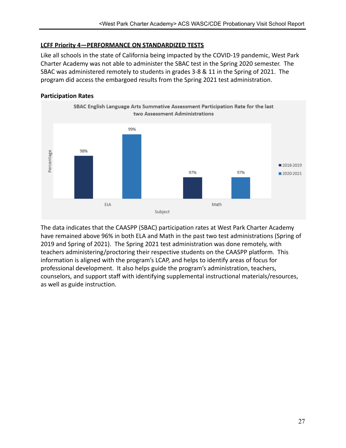#### **LCFF Priority 4—PERFORMANCE ON STANDARDIZED TESTS**

Like all schools in the state of California being impacted by the COVID-19 pandemic, West Park Charter Academy was not able to administer the SBAC test in the Spring 2020 semester. The SBAC was administered remotely to students in grades 3-8 & 11 in the Spring of 2021. The program did access the embargoed results from the Spring 2021 test administration.

#### **Participation Rates**



The data indicates that the CAASPP (SBAC) participation rates at West Park Charter Academy have remained above 96% in both ELA and Math in the past two test administrations (Spring of 2019 and Spring of 2021). The Spring 2021 test administration was done remotely, with teachers administering/proctoring their respective students on the CAASPP platform. This information is aligned with the program's LCAP, and helps to identify areas of focus for professional development. It also helps guide the program's administration, teachers, counselors, and support staff with identifying supplemental instructional materials/resources, as well as guide instruction.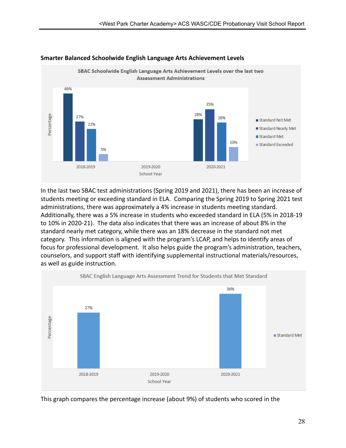

#### **Smarter Balanced Schoolwide English Language Arts Achievement Levels**

In the last two SBAC test administrations (Spring 2019 and 2021), there has been an increase of students meeting or exceeding standard in ELA. Comparing the Spring 2019 to Spring 2021 test administrations, there was approximately a 4% increase in students meeting standard. Additionally, there was a 5% increase in students who exceeded standard in ELA (5% in 2018-19 to 10% in 2020-21). The data also indicates that there was an increase of about 8% in the standard nearly met category, while there was an 18% decrease in the standard not met category. This information is aligned with the program's LCAP, and helps to identify areas of focus for professional development. It also helps guide the program's administration, teachers, counselors, and support staff with identifying supplemental instructional materials/resources, as well as guide instruction.



This graph compares the percentage increase (about 9%) of students who scored in the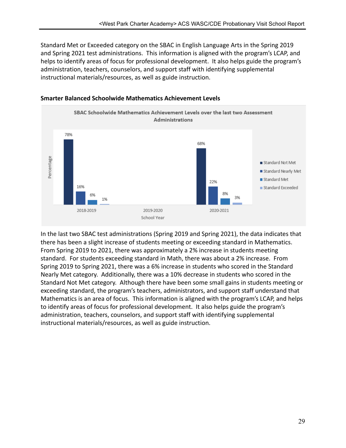Standard Met or Exceeded category on the SBAC in English Language Arts in the Spring 2019 and Spring 2021 test administrations. This information is aligned with the program's LCAP, and helps to identify areas of focus for professional development. It also helps guide the program's administration, teachers, counselors, and support staff with identifying supplemental instructional materials/resources, as well as guide instruction.



#### **Smarter Balanced Schoolwide Mathematics Achievement Levels**

In the last two SBAC test administrations (Spring 2019 and Spring 2021), the data indicates that there has been a slight increase of students meeting or exceeding standard in Mathematics. From Spring 2019 to 2021, there was approximately a 2% increase in students meeting standard. For students exceeding standard in Math, there was about a 2% increase. From Spring 2019 to Spring 2021, there was a 6% increase in students who scored in the Standard Nearly Met category. Additionally, there was a 10% decrease in students who scored in the Standard Not Met category. Although there have been some small gains in students meeting or exceeding standard, the program's teachers, administrators, and support staff understand that Mathematics is an area of focus. This information is aligned with the program's LCAP, and helps to identify areas of focus for professional development. It also helps guide the program's administration, teachers, counselors, and support staff with identifying supplemental instructional materials/resources, as well as guide instruction.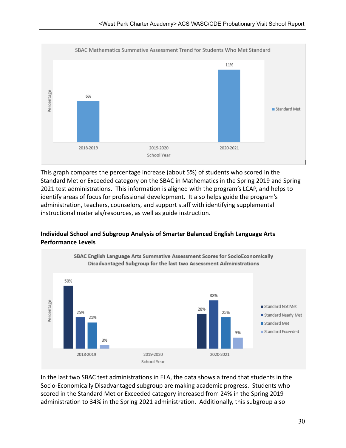

This graph compares the percentage increase (about 5%) of students who scored in the Standard Met or Exceeded category on the SBAC in Mathematics in the Spring 2019 and Spring 2021 test administrations. This information is aligned with the program's LCAP, and helps to identify areas of focus for professional development. It also helps guide the program's administration, teachers, counselors, and support staff with identifying supplemental instructional materials/resources, as well as guide instruction.

#### **Individual School and Subgroup Analysis of Smarter Balanced English Language Arts Performance Levels**



In the last two SBAC test administrations in ELA, the data shows a trend that students in the Socio-Economically Disadvantaged subgroup are making academic progress. Students who scored in the Standard Met or Exceeded category increased from 24% in the Spring 2019 administration to 34% in the Spring 2021 administration. Additionally, this subgroup also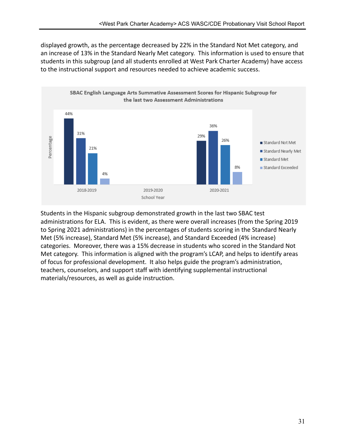displayed growth, as the percentage decreased by 22% in the Standard Not Met category, and an increase of 13% in the Standard Nearly Met category. This information is used to ensure that students in this subgroup (and all students enrolled at West Park Charter Academy) have access to the instructional support and resources needed to achieve academic success.



Students in the Hispanic subgroup demonstrated growth in the last two SBAC test administrations for ELA. This is evident, as there were overall increases (from the Spring 2019 to Spring 2021 administrations) in the percentages of students scoring in the Standard Nearly Met (5% increase), Standard Met (5% increase), and Standard Exceeded (4% increase) categories. Moreover, there was a 15% decrease in students who scored in the Standard Not Met category. This information is aligned with the program's LCAP, and helps to identify areas of focus for professional development. It also helps guide the program's administration, teachers, counselors, and support staff with identifying supplemental instructional materials/resources, as well as guide instruction.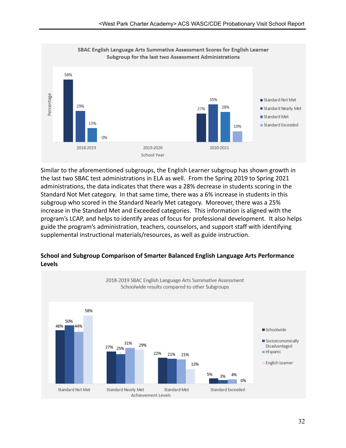

Similar to the aforementioned subgroups, the English Learner subgroup has shown growth in the last two SBAC test administrations in ELA as well. From the Spring 2019 to Spring 2021 administrations, the data indicates that there was a 28% decrease in students scoring in the Standard Not Met category. In that same time, there was a 6% increase in students in this subgroup who scored in the Standard Nearly Met category. Moreover, there was a 25% increase in the Standard Met and Exceeded categories. This information is aligned with the program's LCAP, and helps to identify areas of focus for professional development. It also helps guide the program's administration, teachers, counselors, and support staff with identifying supplemental instructional materials/resources, as well as guide instruction.



#### **School and Subgroup Comparison of Smarter Balanced English Language Arts Performance Levels**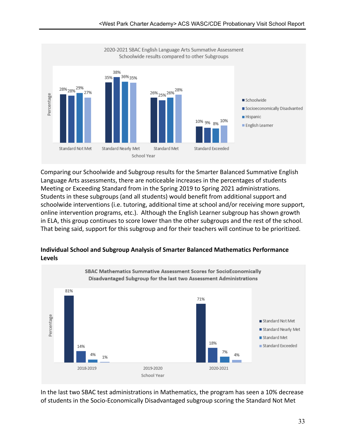

Comparing our Schoolwide and Subgroup results for the Smarter Balanced Summative English Language Arts assessments, there are noticeable increases in the percentages of students Meeting or Exceeding Standard from in the Spring 2019 to Spring 2021 administrations. Students in these subgroups (and all students) would benefit from additional support and schoolwide interventions (i.e. tutoring, additional time at school and/or receiving more support, online intervention programs, etc.). Although the English Learner subgroup has shown growth in ELA, this group continues to score lower than the other subgroups and the rest of the school. That being said, support for this subgroup and for their teachers will continue to be prioritized.



**Individual School and Subgroup Analysis of Smarter Balanced Mathematics Performance Levels**

In the last two SBAC test administrations in Mathematics, the program has seen a 10% decrease of students in the Socio-Economically Disadvantaged subgroup scoring the Standard Not Met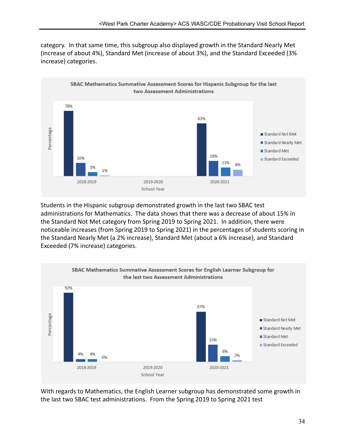category. In that same time, this subgroup also displayed growth in the Standard Nearly Met (increase of about 4%), Standard Met (increase of about 3%), and the Standard Exceeded (3% increase) categories.



Students in the Hispanic subgroup demonstrated growth in the last two SBAC test administrations for Mathematics. The data shows that there was a decrease of about 15% in the Standard Not Met category from Spring 2019 to Spring 2021. In addition, there were noticeable increases (from Spring 2019 to Spring 2021) in the percentages of students scoring in the Standard Nearly Met (a 2% increase), Standard Met (about a 6% increase), and Standard Exceeded (7% increase) categories.



With regards to Mathematics, the English Learner subgroup has demonstrated some growth in the last two SBAC test administrations. From the Spring 2019 to Spring 2021 test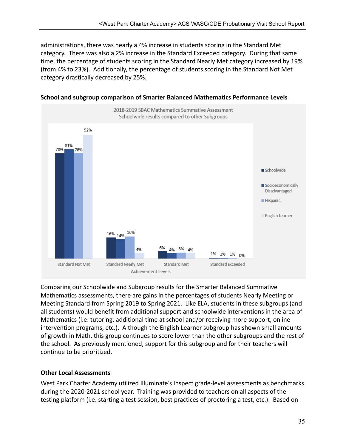administrations, there was nearly a 4% increase in students scoring in the Standard Met category. There was also a 2% increase in the Standard Exceeded category. During that same time, the percentage of students scoring in the Standard Nearly Met category increased by 19% (from 4% to 23%). Additionally, the percentage of students scoring in the Standard Not Met category drastically decreased by 25%.



**School and subgroup comparison of Smarter Balanced Mathematics Performance Levels**

Comparing our Schoolwide and Subgroup results for the Smarter Balanced Summative Mathematics assessments, there are gains in the percentages of students Nearly Meeting or Meeting Standard from Spring 2019 to Spring 2021. Like ELA, students in these subgroups (and all students) would benefit from additional support and schoolwide interventions in the area of Mathematics (i.e. tutoring, additional time at school and/or receiving more support, online intervention programs, etc.). Although the English Learner subgroup has shown small amounts of growth in Math, this group continues to score lower than the other subgroups and the rest of the school. As previously mentioned, support for this subgroup and for their teachers will continue to be prioritized.

#### **Other Local Assessments**

West Park Charter Academy utilized Illuminate's Inspect grade-level assessments as benchmarks during the 2020-2021 school year. Training was provided to teachers on all aspects of the testing platform (i.e. starting a test session, best practices of proctoring a test, etc.). Based on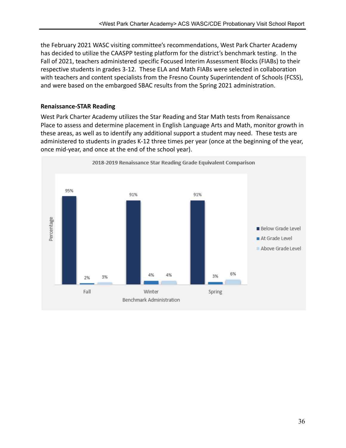the February 2021 WASC visiting committee's recommendations, West Park Charter Academy has decided to utilize the CAASPP testing platform for the district's benchmark testing. In the Fall of 2021, teachers administered specific Focused Interim Assessment Blocks (FIABs) to their respective students in grades 3-12. These ELA and Math FIABs were selected in collaboration with teachers and content specialists from the Fresno County Superintendent of Schools (FCSS), and were based on the embargoed SBAC results from the Spring 2021 administration.

#### **Renaissance-STAR Reading**

West Park Charter Academy utilizes the Star Reading and Star Math tests from Renaissance Place to assess and determine placement in English Language Arts and Math, monitor growth in these areas, as well as to identify any additional support a student may need. These tests are administered to students in grades K-12 three times per year (once at the beginning of the year, once mid-year, and once at the end of the school year).

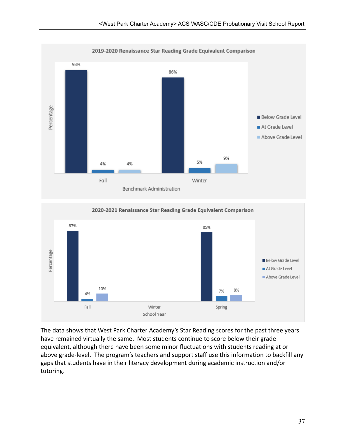

2020-2021 Renaissance Star Reading Grade Equivalent Comparison



The data shows that West Park Charter Academy's Star Reading scores for the past three years have remained virtually the same. Most students continue to score below their grade equivalent, although there have been some minor fluctuations with students reading at or above grade-level. The program's teachers and support staff use this information to backfill any gaps that students have in their literacy development during academic instruction and/or tutoring.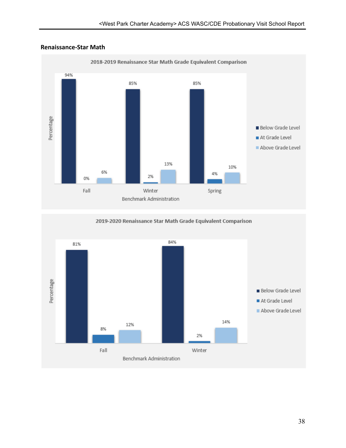

#### **Renaissance-Star Math**

2019-2020 Renaissance Star Math Grade Equivalent Comparison

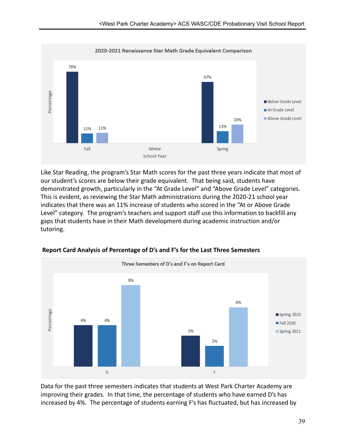

Like Star Reading, the program's Star Math scores for the past three years indicate that most of our student's scores are below their grade equivalent. That being said, students have demonstrated growth, particularly in the "At Grade Level" and "Above Grade Level" categories. This is evident, as reviewing the Star Math administrations during the 2020-21 school year indicates that there was an 11% increase of students who scored in the "At or Above Grade Level" category. The program's teachers and support staff use this information to backfill any gaps that students have in their Math development during academic instruction and/or tutoring.



**Report Card Analysis of Percentage of D's and F's for the Last Three Semesters**

Data for the past three semesters indicates that students at West Park Charter Academy are improving their grades. In that time, the percentage of students who have earned D's has increased by 4%. The percentage of students earning F's has fluctuated, but has increased by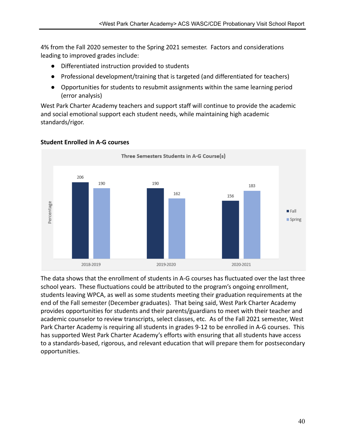4% from the Fall 2020 semester to the Spring 2021 semester. Factors and considerations leading to improved grades include:

- Differentiated instruction provided to students
- Professional development/training that is targeted (and differentiated for teachers)
- Opportunities for students to resubmit assignments within the same learning period (error analysis)

West Park Charter Academy teachers and support staff will continue to provide the academic and social emotional support each student needs, while maintaining high academic standards/rigor.



## **Student Enrolled in A-G courses**

The data shows that the enrollment of students in A-G courses has fluctuated over the last three school years. These fluctuations could be attributed to the program's ongoing enrollment, students leaving WPCA, as well as some students meeting their graduation requirements at the end of the Fall semester (December graduates). That being said, West Park Charter Academy provides opportunities for students and their parents/guardians to meet with their teacher and academic counselor to review transcripts, select classes, etc. As of the Fall 2021 semester, West Park Charter Academy is requiring all students in grades 9-12 to be enrolled in A-G courses. This has supported West Park Charter Academy's efforts with ensuring that all students have access to a standards-based, rigorous, and relevant education that will prepare them for postsecondary opportunities.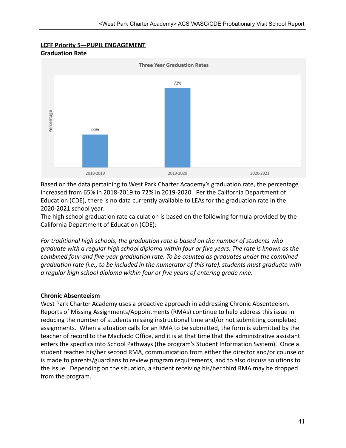#### **LCFF Priority 5—PUPIL ENGAGEMENT Graduation Rate**



Based on the data pertaining to West Park Charter Academy's graduation rate, the percentage increased from 65% in 2018-2019 to 72% in 2019-2020. Per the California Department of Education (CDE), there is no data currently available to LEAs for the graduation rate in the 2020-2021 school year.

The high school graduation rate calculation is based on the following formula provided by the California Department of Education (CDE):

*For traditional high schools, the graduation rate is based on the number of students who graduate with a regular high school diploma within four or five years. The rate is known as the combined four-and five-year graduation rate. To be counted as graduates under the combined graduation rate (i.e., to be included in the numerator of this rate), students must graduate with a regular high school diploma within four or five years of entering grade nine.*

## **Chronic Absenteeism**

West Park Charter Academy uses a proactive approach in addressing Chronic Absenteeism. Reports of Missing Assignments/Appointments (RMAs) continue to help address this issue in reducing the number of students missing instructional time and/or not submitting completed assignments. When a situation calls for an RMA to be submitted, the form is submitted by the teacher of record to the Machado Office, and it is at that time that the administrative assistant enters the specifics into School Pathways (the program's Student Information System). Once a student reaches his/her second RMA, communication from either the director and/or counselor is made to parents/guardians to review program requirements, and to also discuss solutions to the issue. Depending on the situation, a student receiving his/her third RMA may be dropped from the program.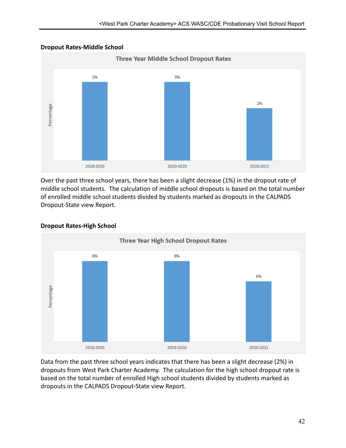#### **Dropout Rates-Middle School**



Over the past three school years, there has been a slight decrease (1%) in the dropout rate of middle school students. The calculation of middle school dropouts is based on the total number of enrolled middle school students divided by students marked as dropouts in the CALPADS Dropout-State view Report.



#### **Dropout Rates-High School**

Data from the past three school years indicates that there has been a slight decrease (2%) in dropouts from West Park Charter Academy. The calculation for the high school dropout rate is based on the total number of enrolled High school students divided by students marked as dropouts in the CALPADS Dropout-State view Report.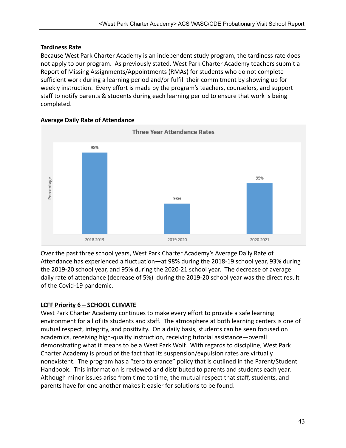#### **Tardiness Rate**

Because West Park Charter Academy is an independent study program, the tardiness rate does not apply to our program. As previously stated, West Park Charter Academy teachers submit a Report of Missing Assignments/Appointments (RMAs) for students who do not complete sufficient work during a learning period and/or fulfill their commitment by showing up for weekly instruction. Every effort is made by the program's teachers, counselors, and support staff to notify parents & students during each learning period to ensure that work is being completed.



#### **Average Daily Rate of Attendance**

Over the past three school years, West Park Charter Academy's Average Daily Rate of Attendance has experienced a fluctuation—at 98% during the 2018-19 school year, 93% during the 2019-20 school year, and 95% during the 2020-21 school year. The decrease of average daily rate of attendance (decrease of 5%) during the 2019-20 school year was the direct result of the Covid-19 pandemic.

## **LCFF Priority 6 – SCHOOL CLIMATE**

West Park Charter Academy continues to make every effort to provide a safe learning environment for all of its students and staff. The atmosphere at both learning centers is one of mutual respect, integrity, and positivity. On a daily basis, students can be seen focused on academics, receiving high-quality instruction, receiving tutorial assistance—overall demonstrating what it means to be a West Park Wolf. With regards to discipline, West Park Charter Academy is proud of the fact that its suspension/expulsion rates are virtually nonexistent. The program has a "zero tolerance" policy that is outlined in the Parent/Student Handbook. This information is reviewed and distributed to parents and students each year. Although minor issues arise from time to time, the mutual respect that staff, students, and parents have for one another makes it easier for solutions to be found.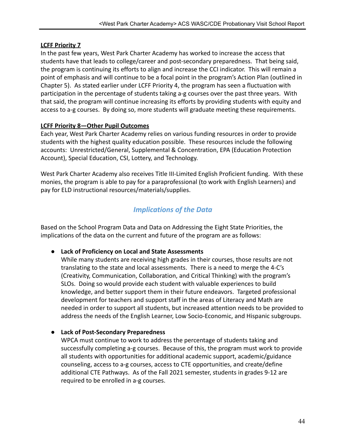## **LCFF Priority 7**

In the past few years, West Park Charter Academy has worked to increase the access that students have that leads to college/career and post-secondary preparedness. That being said, the program is continuing its efforts to align and increase the CCI indicator. This will remain a point of emphasis and will continue to be a focal point in the program's Action Plan (outlined in Chapter 5). As stated earlier under LCFF Priority 4, the program has seen a fluctuation with participation in the percentage of students taking a-g courses over the past three years. With that said, the program will continue increasing its efforts by providing students with equity and access to a-g courses. By doing so, more students will graduate meeting these requirements.

## **LCFF Priority 8—Other Pupil Outcomes**

Each year, West Park Charter Academy relies on various funding resources in order to provide students with the highest quality education possible. These resources include the following accounts: Unrestricted/General, Supplemental & Concentration, EPA (Education Protection Account), Special Education, CSI, Lottery, and Technology.

West Park Charter Academy also receives Title III-Limited English Proficient funding. With these monies, the program is able to pay for a paraprofessional (to work with English Learners) and pay for ELD instructional resources/materials/supplies.

## *Implications of the Data*

Based on the School Program Data and Data on Addressing the Eight State Priorities, the implications of the data on the current and future of the program are as follows:

## ● **Lack of Proficiency on Local and State Assessments**

While many students are receiving high grades in their courses, those results are not translating to the state and local assessments. There is a need to merge the 4-C's (Creativity, Communication, Collaboration, and Critical Thinking) with the program's SLOs. Doing so would provide each student with valuable experiences to build knowledge, and better support them in their future endeavors. Targeted professional development for teachers and support staff in the areas of Literacy and Math are needed in order to support all students, but increased attention needs to be provided to address the needs of the English Learner, Low Socio-Economic, and Hispanic subgroups.

## ● **Lack of Post-Secondary Preparedness**

WPCA must continue to work to address the percentage of students taking and successfully completing a-g courses. Because of this, the program must work to provide all students with opportunities for additional academic support, academic/guidance counseling, access to a-g courses, access to CTE opportunities, and create/define additional CTE Pathways. As of the Fall 2021 semester, students in grades 9-12 are required to be enrolled in a-g courses.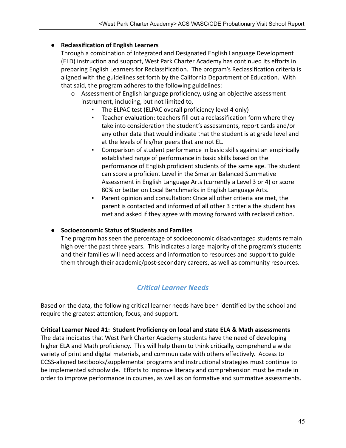## ● **Reclassification of English Learners**

Through a combination of Integrated and Designated English Language Development (ELD) instruction and support, West Park Charter Academy has continued its efforts in preparing English Learners for Reclassification. The program's Reclassification criteria is aligned with the guidelines set forth by the California Department of Education. With that said, the program adheres to the following guidelines:

- o Assessment of English language proficiency, using an objective assessment instrument, including, but not limited to,
	- The ELPAC test (ELPAC overall proficiency level 4 only)
	- Teacher evaluation: teachers fill out a reclassification form where they take into consideration the student's assessments, report cards and/or any other data that would indicate that the student is at grade level and at the levels of his/her peers that are not EL.
	- Comparison of student performance in basic skills against an empirically established range of performance in basic skills based on the performance of English proficient students of the same age. The student can score a proficient Level in the Smarter Balanced Summative Assessment in English Language Arts (currently a Level 3 or 4) or score 80% or better on Local Benchmarks in English Language Arts.
	- Parent opinion and consultation: Once all other criteria are met, the parent is contacted and informed of all other 3 criteria the student has met and asked if they agree with moving forward with reclassification.

## ● **Socioeconomic Status of Students and Families**

The program has seen the percentage of socioeconomic disadvantaged students remain high over the past three years. This indicates a large majority of the program's students and their families will need access and information to resources and support to guide them through their academic/post-secondary careers, as well as community resources.

## *Critical Learner Needs*

Based on the data, the following critical learner needs have been identified by the school and require the greatest attention, focus, and support.

**Critical Learner Need #1: Student Proficiency on local and state ELA & Math assessments**

The data indicates that West Park Charter Academy students have the need of developing higher ELA and Math proficiency. This will help them to think critically, comprehend a wide variety of print and digital materials, and communicate with others effectively. Access to CCSS-aligned textbooks/supplemental programs and instructional strategies must continue to be implemented schoolwide. Efforts to improve literacy and comprehension must be made in order to improve performance in courses, as well as on formative and summative assessments.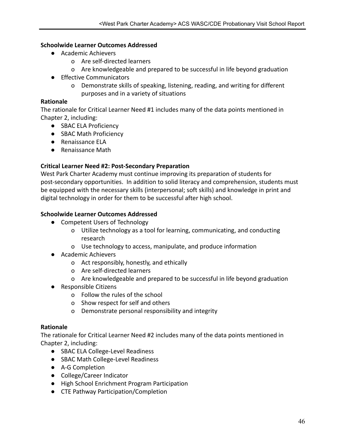#### **Schoolwide Learner Outcomes Addressed**

- Academic Achievers
	- o Are self-directed learners
	- o Are knowledgeable and prepared to be successful in life beyond graduation
- Effective Communicators
	- o Demonstrate skills of speaking, listening, reading, and writing for different purposes and in a variety of situations

#### **Rationale**

The rationale for Critical Learner Need #1 includes many of the data points mentioned in Chapter 2, including:

- SBAC ELA Proficiency
- SBAC Math Proficiency
- Renaissance ELA
- Renaissance Math

#### **Critical Learner Need #2: Post-Secondary Preparation**

West Park Charter Academy must continue improving its preparation of students for post-secondary opportunities. In addition to solid literacy and comprehension, students must be equipped with the necessary skills (interpersonal; soft skills) and knowledge in print and digital technology in order for them to be successful after high school.

#### **Schoolwide Learner Outcomes Addressed**

- Competent Users of Technology
	- o Utilize technology as a tool for learning, communicating, and conducting research
	- o Use technology to access, manipulate, and produce information
- Academic Achievers
	- o Act responsibly, honestly, and ethically
	- o Are self-directed learners
	- o Are knowledgeable and prepared to be successful in life beyond graduation
- Responsible Citizens
	- o Follow the rules of the school
	- o Show respect for self and others
	- o Demonstrate personal responsibility and integrity

#### **Rationale**

The rationale for Critical Learner Need #2 includes many of the data points mentioned in Chapter 2, including:

- SBAC ELA College-Level Readiness
- SBAC Math College-Level Readiness
- A-G Completion
- College/Career Indicator
- High School Enrichment Program Participation
- CTE Pathway Participation/Completion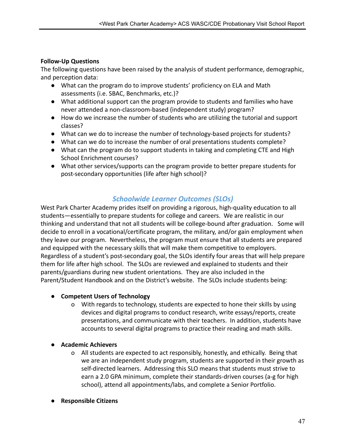## **Follow-Up Questions**

The following questions have been raised by the analysis of student performance, demographic, and perception data:

- What can the program do to improve students' proficiency on ELA and Math assessments (i.e. SBAC, Benchmarks, etc.)?
- What additional support can the program provide to students and families who have never attended a non-classroom-based (independent study) program?
- How do we increase the number of students who are utilizing the tutorial and support classes?
- What can we do to increase the number of technology-based projects for students?
- What can we do to increase the number of oral presentations students complete?
- What can the program do to support students in taking and completing CTE and High School Enrichment courses?
- What other services/supports can the program provide to better prepare students for post-secondary opportunities (life after high school)?

## *Schoolwide Learner Outcomes (SLOs)*

West Park Charter Academy prides itself on providing a rigorous, high-quality education to all students—essentially to prepare students for college and careers. We are realistic in our thinking and understand that not all students will be college-bound after graduation. Some will decide to enroll in a vocational/certificate program, the military, and/or gain employment when they leave our program. Nevertheless, the program must ensure that all students are prepared and equipped with the necessary skills that will make them competitive to employers. Regardless of a student's post-secondary goal, the SLOs identify four areas that will help prepare them for life after high school. The SLOs are reviewed and explained to students and their parents/guardians during new student orientations. They are also included in the Parent/Student Handbook and on the District's website. The SLOs include students being:

#### ● **Competent Users of Technology**

- o With regards to technology, students are expected to hone their skills by using devices and digital programs to conduct research, write essays/reports, create presentations, and communicate with their teachers. In addition, students have accounts to several digital programs to practice their reading and math skills.
- **Academic Achievers**
	- o All students are expected to act responsibly, honestly, and ethically. Being that we are an independent study program, students are supported in their growth as self-directed learners. Addressing this SLO means that students must strive to earn a 2.0 GPA minimum, complete their standards-driven courses (a-g for high school), attend all appointments/labs, and complete a Senior Portfolio.
- **Responsible Citizens**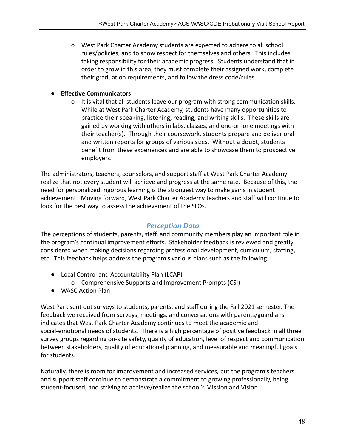o West Park Charter Academy students are expected to adhere to all school rules/policies, and to show respect for themselves and others. This includes taking responsibility for their academic progress. Students understand that in order to grow in this area, they must complete their assigned work, complete their graduation requirements, and follow the dress code/rules.

### ● **Effective Communicators**

o It is vital that all students leave our program with strong communication skills. While at West Park Charter Academy, students have many opportunities to practice their speaking, listening, reading, and writing skills. These skills are gained by working with others in labs, classes, and one-on-one meetings with their teacher(s). Through their coursework, students prepare and deliver oral and written reports for groups of various sizes. Without a doubt, students benefit from these experiences and are able to showcase them to prospective employers.

The administrators, teachers, counselors, and support staff at West Park Charter Academy realize that not every student will achieve and progress at the same rate. Because of this, the need for personalized, rigorous learning is the strongest way to make gains in student achievement. Moving forward, West Park Charter Academy teachers and staff will continue to look for the best way to assess the achievement of the SLOs.

## *Perception Data*

The perceptions of students, parents, staff, and community members play an important role in the program's continual improvement efforts. Stakeholder feedback is reviewed and greatly considered when making decisions regarding professional development, curriculum, staffing, etc. This feedback helps address the program's various plans such as the following:

- Local Control and Accountability Plan (LCAP)
	- o Comprehensive Supports and Improvement Prompts (CSI)
- WASC Action Plan

West Park sent out surveys to students, parents, and staff during the Fall 2021 semester. The feedback we received from surveys, meetings, and conversations with parents/guardians indicates that West Park Charter Academy continues to meet the academic and social-emotional needs of students. There is a high percentage of positive feedback in all three survey groups regarding on-site safety, quality of education, level of respect and communication between stakeholders, quality of educational planning, and measurable and meaningful goals for students.

Naturally, there is room for improvement and increased services, but the program's teachers and support staff continue to demonstrate a commitment to growing professionally, being student-focused, and striving to achieve/realize the school's Mission and Vision.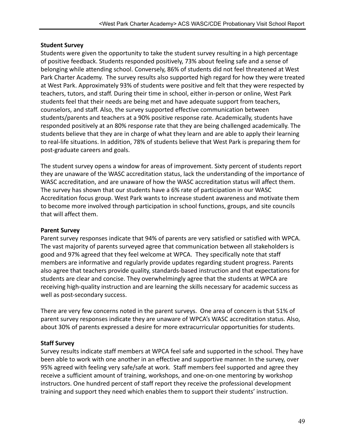#### **Student Survey**

Students were given the opportunity to take the student survey resulting in a high percentage of positive feedback. Students responded positively, 73% about feeling safe and a sense of belonging while attending school. Conversely, 86% of students did not feel threatened at West Park Charter Academy. The survey results also supported high regard for how they were treated at West Park. Approximately 93% of students were positive and felt that they were respected by teachers, tutors, and staff. During their time in school, either in-person or online, West Park students feel that their needs are being met and have adequate support from teachers, counselors, and staff. Also, the survey supported effective communication between students/parents and teachers at a 90% positive response rate. Academically, students have responded positively at an 80% response rate that they are being challenged academically. The students believe that they are in charge of what they learn and are able to apply their learning to real-life situations. In addition, 78% of students believe that West Park is preparing them for post-graduate careers and goals.

The student survey opens a window for areas of improvement. Sixty percent of students report they are unaware of the WASC accreditation status, lack the understanding of the importance of WASC accreditation, and are unaware of how the WASC accreditation status will affect them. The survey has shown that our students have a 6% rate of participation in our WASC Accreditation focus group. West Park wants to increase student awareness and motivate them to become more involved through participation in school functions, groups, and site councils that will affect them.

#### **Parent Survey**

Parent survey responses indicate that 94% of parents are very satisfied or satisfied with WPCA. The vast majority of parents surveyed agree that communication between all stakeholders is good and 97% agreed that they feel welcome at WPCA. They specifically note that staff members are informative and regularly provide updates regarding student progress. Parents also agree that teachers provide quality, standards-based instruction and that expectations for students are clear and concise. They overwhelmingly agree that the students at WPCA are receiving high-quality instruction and are learning the skills necessary for academic success as well as post-secondary success.

There are very few concerns noted in the parent surveys. One area of concern is that 51% of parent survey responses indicate they are unaware of WPCA's WASC accreditation status. Also, about 30% of parents expressed a desire for more extracurricular opportunities for students.

#### **Staff Survey**

Survey results indicate staff members at WPCA feel safe and supported in the school. They have been able to work with one another in an effective and supportive manner. In the survey, over 95% agreed with feeling very safe/safe at work. Staff members feel supported and agree they receive a sufficient amount of training, workshops, and one-on-one mentoring by workshop instructors. One hundred percent of staff report they receive the professional development training and support they need which enables them to support their students' instruction.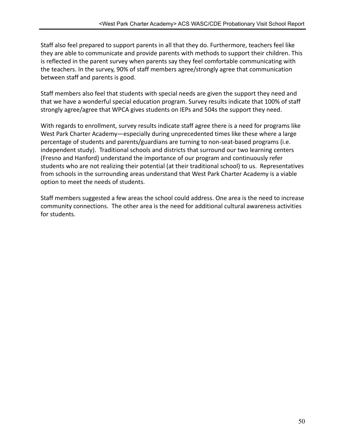Staff also feel prepared to support parents in all that they do. Furthermore, teachers feel like they are able to communicate and provide parents with methods to support their children. This is reflected in the parent survey when parents say they feel comfortable communicating with the teachers. In the survey, 90% of staff members agree/strongly agree that communication between staff and parents is good.

Staff members also feel that students with special needs are given the support they need and that we have a wonderful special education program. Survey results indicate that 100% of staff strongly agree/agree that WPCA gives students on IEPs and 504s the support they need.

With regards to enrollment, survey results indicate staff agree there is a need for programs like West Park Charter Academy—especially during unprecedented times like these where a large percentage of students and parents/guardians are turning to non-seat-based programs (i.e. independent study). Traditional schools and districts that surround our two learning centers (Fresno and Hanford) understand the importance of our program and continuously refer students who are not realizing their potential (at their traditional school) to us. Representatives from schools in the surrounding areas understand that West Park Charter Academy is a viable option to meet the needs of students.

Staff members suggested a few areas the school could address. One area is the need to increase community connections. The other area is the need for additional cultural awareness activities for students.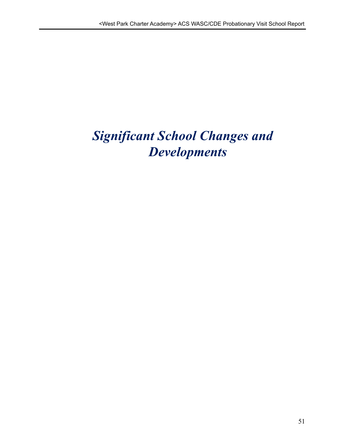# *Significant School Changes and Developments*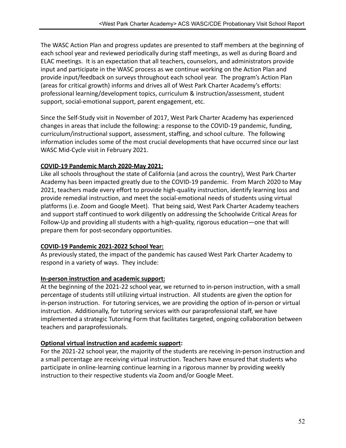The WASC Action Plan and progress updates are presented to staff members at the beginning of each school year and reviewed periodically during staff meetings, as well as during Board and ELAC meetings. It is an expectation that all teachers, counselors, and administrators provide input and participate in the WASC process as we continue working on the Action Plan and provide input/feedback on surveys throughout each school year. The program's Action Plan (areas for critical growth) informs and drives all of West Park Charter Academy's efforts: professional learning/development topics, curriculum & instruction/assessment, student support, social-emotional support, parent engagement, etc.

Since the Self-Study visit in November of 2017, West Park Charter Academy has experienced changes in areas that include the following: a response to the COVID-19 pandemic, funding, curriculum/instructional support, assessment, staffing, and school culture. The following information includes some of the most crucial developments that have occurred since our last WASC Mid-Cycle visit in February 2021.

## **COVID-19 Pandemic March 2020-May 2021:**

Like all schools throughout the state of California (and across the country), West Park Charter Academy has been impacted greatly due to the COVID-19 pandemic. From March 2020 to May 2021, teachers made every effort to provide high-quality instruction, identify learning loss and provide remedial instruction, and meet the social-emotional needs of students using virtual platforms (i.e. Zoom and Google Meet). That being said, West Park Charter Academy teachers and support staff continued to work diligently on addressing the Schoolwide Critical Areas for Follow-Up and providing all students with a high-quality, rigorous education—one that will prepare them for post-secondary opportunities.

## **COVID-19 Pandemic 2021-2022 School Year:**

As previously stated, the impact of the pandemic has caused West Park Charter Academy to respond in a variety of ways. They include:

## **In-person instruction and academic support:**

At the beginning of the 2021-22 school year, we returned to in-person instruction, with a small percentage of students still utilizing virtual instruction. All students are given the option for in-person instruction. For tutoring services, we are providing the option of in-person or virtual instruction. Additionally, for tutoring services with our paraprofessional staff, we have implemented a strategic Tutoring Form that facilitates targeted, ongoing collaboration between teachers and paraprofessionals.

#### **Optional virtual instruction and academic support:**

For the 2021-22 school year, the majority of the students are receiving in-person instruction and a small percentage are receiving virtual instruction. Teachers have ensured that students who participate in online-learning continue learning in a rigorous manner by providing weekly instruction to their respective students via Zoom and/or Google Meet.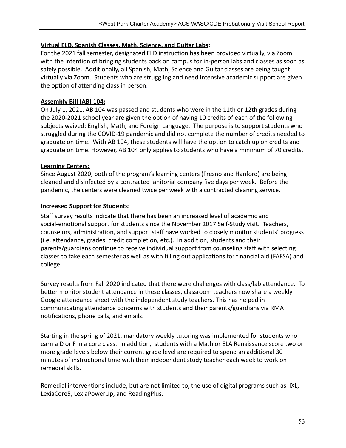#### **Virtual ELD, Spanish Classes, Math, Science, and Guitar Labs:**

For the 2021 fall semester, designated ELD instruction has been provided virtually, via Zoom with the intention of bringing students back on campus for in-person labs and classes as soon as safely possible. Additionally, all Spanish, Math, Science and Guitar classes are being taught virtually via Zoom. Students who are struggling and need intensive academic support are given the option of attending class in person.

#### **Assembly Bill (AB) 104:**

On July 1, 2021, AB 104 was passed and students who were in the 11th or 12th grades during the 2020-2021 school year are given the option of having 10 credits of each of the following subjects waived: English, Math, and Foreign Language. The purpose is to support students who struggled during the COVID-19 pandemic and did not complete the number of credits needed to graduate on time. With AB 104, these students will have the option to catch up on credits and graduate on time. However, AB 104 only applies to students who have a minimum of 70 credits.

#### **Learning Centers:**

Since August 2020, both of the program's learning centers (Fresno and Hanford) are being cleaned and disinfected by a contracted janitorial company five days per week. Before the pandemic, the centers were cleaned twice per week with a contracted cleaning service.

#### **Increased Support for Students:**

Staff survey results indicate that there has been an increased level of academic and social-emotional support for students since the November 2017 Self-Study visit. Teachers, counselors, administration, and support staff have worked to closely monitor students' progress (i.e. attendance, grades, credit completion, etc.). In addition, students and their parents/guardians continue to receive individual support from counseling staff with selecting classes to take each semester as well as with filling out applications for financial aid (FAFSA) and college.

Survey results from Fall 2020 indicated that there were challenges with class/lab attendance. To better monitor student attendance in these classes, classroom teachers now share a weekly Google attendance sheet with the independent study teachers. This has helped in communicating attendance concerns with students and their parents/guardians via RMA notifications, phone calls, and emails.

Starting in the spring of 2021, mandatory weekly tutoring was implemented for students who earn a D or F in a core class. In addition, students with a Math or ELA Renaissance score two or more grade levels below their current grade level are required to spend an additional 30 minutes of instructional time with their independent study teacher each week to work on remedial skills.

Remedial interventions include, but are not limited to, the use of digital programs such as IXL, LexiaCore5, LexiaPowerUp, and ReadingPlus.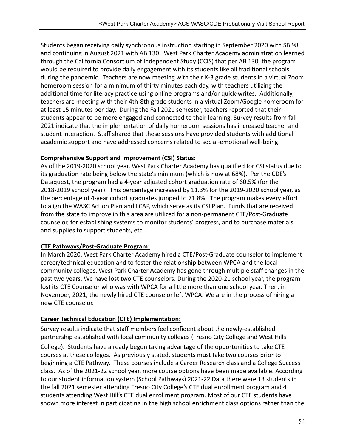Students began receiving daily synchronous instruction starting in September 2020 with SB 98 and continuing in August 2021 with AB 130. West Park Charter Academy administration learned through the California Consortium of Independent Study (CCIS) that per AB 130, the program would be required to provide daily engagement with its students like all traditional schools during the pandemic. Teachers are now meeting with their K-3 grade students in a virtual Zoom homeroom session for a minimum of thirty minutes each day, with teachers utilizing the additional time for literacy practice using online programs and/or quick-writes. Additionally, teachers are meeting with their 4th-8th grade students in a virtual Zoom/Google homeroom for at least 15 minutes per day. During the Fall 2021 semester, teachers reported that their students appear to be more engaged and connected to their learning. Survey results from fall 2021 indicate that the implementation of daily homeroom sessions has increased teacher and student interaction. Staff shared that these sessions have provided students with additional academic support and have addressed concerns related to social-emotional well-being.

## **Comprehensive Support and Improvement (CSI) Status:**

As of the 2019-2020 school year, West Park Charter Academy has qualified for CSI status due to its graduation rate being below the state's minimum (which is now at 68%). Per the CDE's Dataquest, the program had a 4-year adjusted cohort graduation rate of 60.5% (for the 2018-2019 school year). This percentage increased by 11.3% for the 2019-2020 school year, as the percentage of 4-year cohort graduates jumped to 71.8%. The program makes every effort to align the WASC Action Plan and LCAP, which serve as its CSI Plan. Funds that are received from the state to improve in this area are utilized for a non-permanent CTE/Post-Graduate counselor, for establishing systems to monitor students' progress, and to purchase materials and supplies to support students, etc.

## **CTE Pathways/Post-Graduate Program:**

In March 2020, West Park Charter Academy hired a CTE/Post-Graduate counselor to implement career/technical education and to foster the relationship between WPCA and the local community colleges. West Park Charter Academy has gone through multiple staff changes in the past two years. We have lost two CTE counselors. During the 2020-21 school year, the program lost its CTE Counselor who was with WPCA for a little more than one school year. Then, in November, 2021, the newly hired CTE counselor left WPCA. We are in the process of hiring a new CTE counselor.

## **Career Technical Education (CTE) Implementation:**

Survey results indicate that staff members feel confident about the newly-established partnership established with local community colleges (Fresno City College and West Hills

College). Students have already begun taking advantage of the opportunities to take CTE courses at these colleges. As previously stated, students must take two courses prior to beginning a CTE Pathway. These courses include a Career Research class and a College Success class. As of the 2021-22 school year, more course options have been made available. According to our student information system (School Pathways) 2021-22 Data there were 13 students in the fall 2021 semester attending Fresno City College's CTE dual enrollment program and 4 students attending West Hill's CTE dual enrollment program. Most of our CTE students have shown more interest in participating in the high school enrichment class options rather than the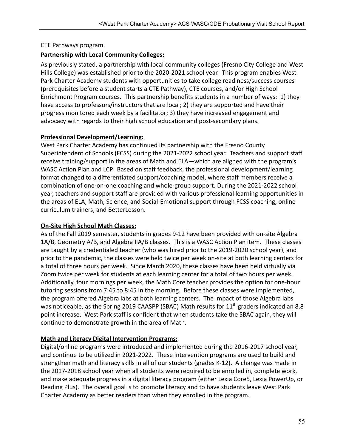#### CTE Pathways program.

### **Partnership with Local Community Colleges:**

As previously stated, a partnership with local community colleges (Fresno City College and West Hills College) was established prior to the 2020-2021 school year. This program enables West Park Charter Academy students with opportunities to take college readiness/success courses (prerequisites before a student starts a CTE Pathway), CTE courses, and/or High School Enrichment Program courses. This partnership benefits students in a number of ways: 1) they have access to professors/instructors that are local; 2) they are supported and have their progress monitored each week by a facilitator; 3) they have increased engagement and advocacy with regards to their high school education and post-secondary plans.

#### **Professional Development/Learning:**

West Park Charter Academy has continued its partnership with the Fresno County Superintendent of Schools (FCSS) during the 2021-2022 school year. Teachers and support staff receive training/support in the areas of Math and ELA—which are aligned with the program's WASC Action Plan and LCP. Based on staff feedback, the professional development/learning format changed to a differentiated support/coaching model, where staff members receive a combination of one-on-one coaching and whole-group support. During the 2021-2022 school year, teachers and support staff are provided with various professional learning opportunities in the areas of ELA, Math, Science, and Social-Emotional support through FCSS coaching, online curriculum trainers, and BetterLesson.

#### **On-Site High School Math Classes:**

As of the Fall 2019 semester, students in grades 9-12 have been provided with on-site Algebra 1A/B, Geometry A/B, and Algebra IIA/B classes. This is a WASC Action Plan item. These classes are taught by a credentialed teacher (who was hired prior to the 2019-2020 school year), and prior to the pandemic, the classes were held twice per week on-site at both learning centers for a total of three hours per week. Since March 2020, these classes have been held virtually via Zoom twice per week for students at each learning center for a total of two hours per week. Additionally, four mornings per week, the Math Core teacher provides the option for one-hour tutoring sessions from 7:45 to 8:45 in the morning. Before these classes were implemented, the program offered Algebra labs at both learning centers. The impact of those Algebra labs was noticeable, as the Spring 2019 CAASPP (SBAC) Math results for  $11<sup>th</sup>$  graders indicated an 8.8 point increase. West Park staff is confident that when students take the SBAC again, they will continue to demonstrate growth in the area of Math.

#### **Math and Literacy Digital Intervention Programs:**

Digital/online programs were introduced and implemented during the 2016-2017 school year, and continue to be utilized in 2021-2022. These intervention programs are used to build and strengthen math and literacy skills in all of our students (grades K-12). A change was made in the 2017-2018 school year when all students were required to be enrolled in, complete work, and make adequate progress in a digital literacy program (either Lexia Core5, Lexia PowerUp, or Reading Plus). The overall goal is to promote literacy and to have students leave West Park Charter Academy as better readers than when they enrolled in the program.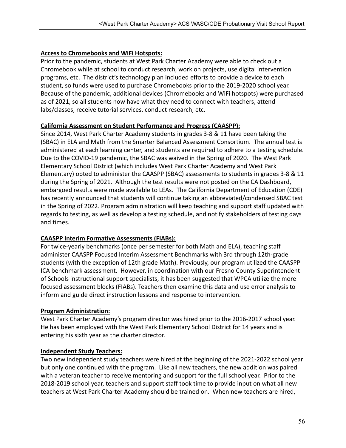## **Access to Chromebooks and WiFi Hotspots:**

Prior to the pandemic, students at West Park Charter Academy were able to check out a Chromebook while at school to conduct research, work on projects, use digital intervention programs, etc. The district's technology plan included efforts to provide a device to each student, so funds were used to purchase Chromebooks prior to the 2019-2020 school year. Because of the pandemic, additional devices (Chromebooks and WiFi hotspots) were purchased as of 2021, so all students now have what they need to connect with teachers, attend labs/classes, receive tutorial services, conduct research, etc.

#### **California Assessment on Student Performance and Progress (CAASPP):**

Since 2014, West Park Charter Academy students in grades 3-8 & 11 have been taking the (SBAC) in ELA and Math from the Smarter Balanced Assessment Consortium. The annual test is administered at each learning center, and students are required to adhere to a testing schedule. Due to the COVID-19 pandemic, the SBAC was waived in the Spring of 2020. The West Park Elementary School District (which includes West Park Charter Academy and West Park Elementary) opted to administer the CAASPP (SBAC) assessments to students in grades 3-8 & 11 during the Spring of 2021. Although the test results were not posted on the CA Dashboard, embargoed results were made available to LEAs. The California Department of Education (CDE) has recently announced that students will continue taking an abbreviated/condensed SBAC test in the Spring of 2022. Program administration will keep teaching and support staff updated with regards to testing, as well as develop a testing schedule, and notify stakeholders of testing days and times.

## **CAASPP Interim Formative Assessments (FIABs):**

For twice-yearly benchmarks (once per semester for both Math and ELA), teaching staff administer CAASPP Focused Interim Assessment Benchmarks with 3rd through 12th-grade students (with the exception of 12th grade Math). Previously, our program utilized the CAASPP ICA benchmark assessment. However, in coordination with our Fresno County Superintendent of Schools instructional support specialists, it has been suggested that WPCA utilize the more focused assessment blocks (FIABs). Teachers then examine this data and use error analysis to inform and guide direct instruction lessons and response to intervention.

## **Program Administration:**

West Park Charter Academy's program director was hired prior to the 2016-2017 school year. He has been employed with the West Park Elementary School District for 14 years and is entering his sixth year as the charter director.

## **Independent Study Teachers:**

Two new independent study teachers were hired at the beginning of the 2021-2022 school year but only one continued with the program. Like all new teachers, the new addition was paired with a veteran teacher to receive mentoring and support for the full school year. Prior to the 2018-2019 school year, teachers and support staff took time to provide input on what all new teachers at West Park Charter Academy should be trained on. When new teachers are hired,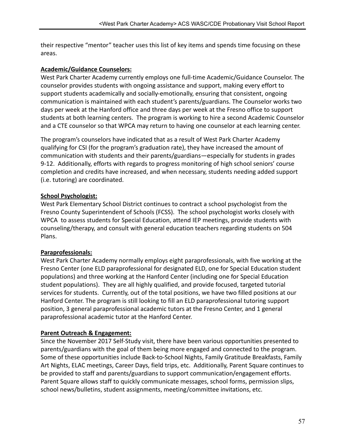their respective "mentor" teacher uses this list of key items and spends time focusing on these areas.

## **Academic/Guidance Counselors:**

West Park Charter Academy currently employs one full-time Academic/Guidance Counselor. The counselor provides students with ongoing assistance and support, making every effort to support students academically and socially-emotionally, ensuring that consistent, ongoing communication is maintained with each student's parents/guardians. The Counselor works two days per week at the Hanford office and three days per week at the Fresno office to support students at both learning centers. The program is working to hire a second Academic Counselor and a CTE counselor so that WPCA may return to having one counselor at each learning center.

The program's counselors have indicated that as a result of West Park Charter Academy qualifying for CSI (for the program's graduation rate), they have increased the amount of communication with students and their parents/guardians—especially for students in grades 9-12. Additionally, efforts with regards to progress monitoring of high school seniors' course completion and credits have increased, and when necessary, students needing added support (i.e. tutoring) are coordinated.

## **School Psychologist:**

West Park Elementary School District continues to contract a school psychologist from the Fresno County Superintendent of Schools (FCSS). The school psychologist works closely with WPCA to assess students for Special Education, attend IEP meetings, provide students with counseling/therapy, and consult with general education teachers regarding students on 504 Plans.

## **Paraprofessionals:**

West Park Charter Academy normally employs eight paraprofessionals, with five working at the Fresno Center (one ELD paraprofessional for designated ELD, one for Special Education student populations) and three working at the Hanford Center (including one for Special Education student populations). They are all highly qualified, and provide focused, targeted tutorial services for students. Currently, out of the total positions, we have two filled positions at our Hanford Center. The program is still looking to fill an ELD paraprofessional tutoring support position, 3 general paraprofessional academic tutors at the Fresno Center, and 1 general paraprofessional academic tutor at the Hanford Center.

## **Parent Outreach & Engagement:**

Since the November 2017 Self-Study visit, there have been various opportunities presented to parents/guardians with the goal of them being more engaged and connected to the program. Some of these opportunities include Back-to-School Nights, Family Gratitude Breakfasts, Family Art Nights, ELAC meetings, Career Days, field trips, etc. Additionally, Parent Square continues to be provided to staff and parents/guardians to support communication/engagement efforts. Parent Square allows staff to quickly communicate messages, school forms, permission slips, school news/bulletins, student assignments, meeting/committee invitations, etc.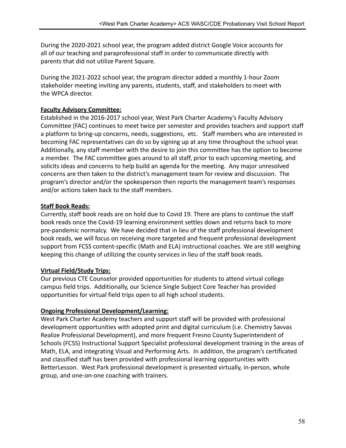During the 2020-2021 school year, the program added district Google Voice accounts for all of our teaching and paraprofessional staff in order to communicate directly with parents that did not utilize Parent Square.

During the 2021-2022 school year, the program director added a monthly 1-hour Zoom stakeholder meeting inviting any parents, students, staff, and stakeholders to meet with the WPCA director.

#### **Faculty Advisory Committee:**

Established in the 2016-2017 school year, West Park Charter Academy's Faculty Advisory Committee (FAC) continues to meet twice per semester and provides teachers and support staff a platform to bring-up concerns, needs, suggestions, etc. Staff members who are interested in becoming FAC representatives can do so by signing up at any time throughout the school year. Additionally, any staff member with the desire to join this committee has the option to become a member. The FAC committee goes around to all staff, prior to each upcoming meeting, and solicits ideas and concerns to help build an agenda for the meeting. Any major unresolved concerns are then taken to the district's management team for review and discussion. The program's director and/or the spokesperson then reports the management team's responses and/or actions taken back to the staff members.

#### **Staff Book Reads:**

Currently, staff book reads are on hold due to Covid 19. There are plans to continue the staff book reads once the Covid-19 learning environment settles down and returns back to more pre-pandemic normalcy. We have decided that in lieu of the staff professional development book reads, we will focus on receiving more targeted and frequent professional development support from FCSS content-specific (Math and ELA) instructional coaches. We are still weighing keeping this change of utilizing the county services in lieu of the staff book reads.

#### **Virtual Field/Study Trips:**

Our previous CTE Counselor provided opportunities for students to attend virtual college campus field trips. Additionally, our Science Single Subject Core Teacher has provided opportunities for virtual field trips open to all high school students.

#### **Ongoing Professional Development/Learning:**

West Park Charter Academy teachers and support staff will be provided with professional development opportunities with adopted print and digital curriculum (i.e. Chemistry Savvas Realize Professional Development), and more frequent Fresno County Superintendent of Schools (FCSS) Instructional Support Specialist professional development training in the areas of Math, ELA, and integrating Visual and Performing Arts. In addition, the program's certificated and classified staff has been provided with professional learning opportunities with BetterLesson. West Park professional development is presented virtually, in-person, whole group, and one-on-one coaching with trainers.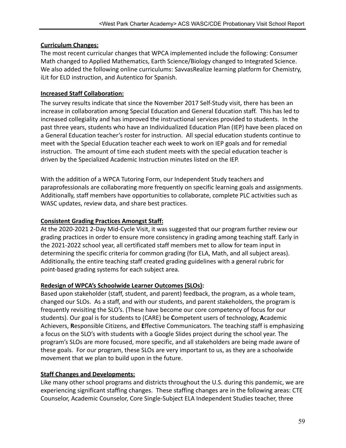### **Curriculum Changes:**

The most recent curricular changes that WPCA implemented include the following: Consumer Math changed to Applied Mathematics, Earth Science/Biology changed to Integrated Science. We also added the following online curriculums: SavvasRealize learning platform for Chemistry, iLit for ELD instruction, and Autentico for Spanish.

## **Increased Staff Collaboration:**

The survey results indicate that since the November 2017 Self-Study visit, there has been an increase in collaboration among Special Education and General Education staff. This has led to increased collegiality and has improved the instructional services provided to students. In the past three years, students who have an Individualized Education Plan (IEP) have been placed on a General Education teacher's roster for instruction. All special education students continue to meet with the Special Education teacher each week to work on IEP goals and for remedial instruction. The amount of time each student meets with the special education teacher is driven by the Specialized Academic Instruction minutes listed on the IEP.

With the addition of a WPCA Tutoring Form, our Independent Study teachers and paraprofessionals are collaborating more frequently on specific learning goals and assignments. Additionally, staff members have opportunities to collaborate, complete PLC activities such as WASC updates, review data, and share best practices.

## **Consistent Grading Practices Amongst Staff:**

At the 2020-2021 2-Day Mid-Cycle Visit, it was suggested that our program further review our grading practices in order to ensure more consistency in grading among teaching staff. Early in the 2021-2022 school year, all certificated staff members met to allow for team input in determining the specific criteria for common grading (for ELA, Math, and all subject areas). Additionally, the entire teaching staff created grading guidelines with a general rubric for point-based grading systems for each subject area.

## **Redesign of WPCA's Schoolwide Learner Outcomes (SLOs):**

Based upon stakeholder (staff, student, and parent) feedback, the program, as a whole team, changed our SLOs. As a staff, and with our students, and parent stakeholders, the program is frequently revisiting the SLO's. (These have become our core competency of focus for our students). Our goal is for students to (CARE) be **C**ompetent users of technology, **A**cademic Achievers, **R**esponsible Citizens, and **E**ffective Communicators. The teaching staff is emphasizing a focus on the SLO's with students with a Google Slides project during the school year. The program's SLOs are more focused, more specific, and all stakeholders are being made aware of these goals. For our program, these SLOs are very important to us, as they are a schoolwide movement that we plan to build upon in the future.

## **Staff Changes and Developments:**

Like many other school programs and districts throughout the U.S. during this pandemic, we are experiencing significant staffing changes. These staffing changes are in the following areas: CTE Counselor, Academic Counselor, Core Single-Subject ELA Independent Studies teacher, three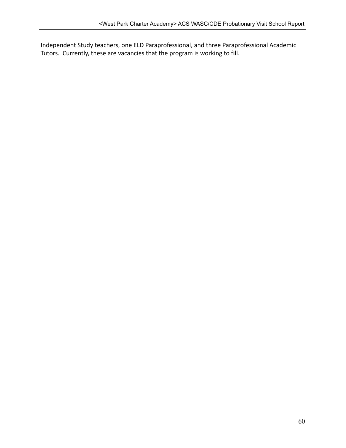Independent Study teachers, one ELD Paraprofessional, and three Paraprofessional Academic Tutors. Currently, these are vacancies that the program is working to fill.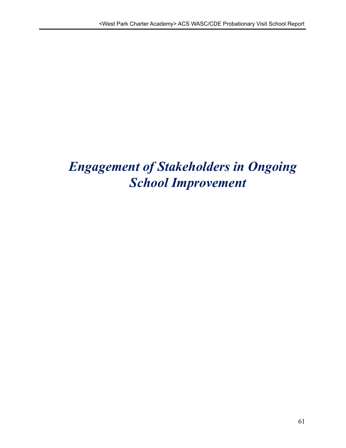# *Engagement of Stakeholders in Ongoing School Improvement*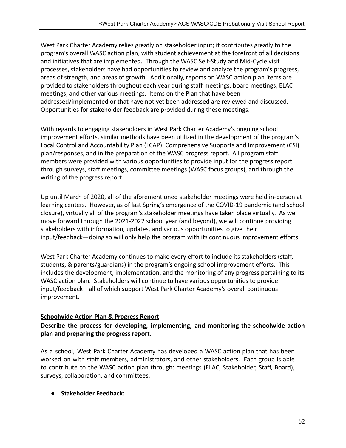West Park Charter Academy relies greatly on stakeholder input; it contributes greatly to the program's overall WASC action plan, with student achievement at the forefront of all decisions and initiatives that are implemented. Through the WASC Self-Study and Mid-Cycle visit processes, stakeholders have had opportunities to review and analyze the program's progress, areas of strength, and areas of growth. Additionally, reports on WASC action plan items are provided to stakeholders throughout each year during staff meetings, board meetings, ELAC meetings, and other various meetings. Items on the Plan that have been addressed/implemented or that have not yet been addressed are reviewed and discussed. Opportunities for stakeholder feedback are provided during these meetings.

With regards to engaging stakeholders in West Park Charter Academy's ongoing school improvement efforts, similar methods have been utilized in the development of the program's Local Control and Accountability Plan (LCAP), Comprehensive Supports and Improvement (CSI) plan/responses, and in the preparation of the WASC progress report. All program staff members were provided with various opportunities to provide input for the progress report through surveys, staff meetings, committee meetings (WASC focus groups), and through the writing of the progress report.

Up until March of 2020, all of the aforementioned stakeholder meetings were held in-person at learning centers. However, as of last Spring's emergence of the COVID-19 pandemic (and school closure), virtually all of the program's stakeholder meetings have taken place virtually. As we move forward through the 2021-2022 school year (and beyond), we will continue providing stakeholders with information, updates, and various opportunities to give their input/feedback—doing so will only help the program with its continuous improvement efforts.

West Park Charter Academy continues to make every effort to include its stakeholders (staff, students, & parents/guardians) in the program's ongoing school improvement efforts. This includes the development, implementation, and the monitoring of any progress pertaining to its WASC action plan. Stakeholders will continue to have various opportunities to provide input/feedback—all of which support West Park Charter Academy's overall continuous improvement.

## **Schoolwide Action Plan & Progress Report**

#### **Describe the process for developing, implementing, and monitoring the schoolwide action plan and preparing the progress report.**

As a school, West Park Charter Academy has developed a WASC action plan that has been worked on with staff members, administrators, and other stakeholders. Each group is able to contribute to the WASC action plan through: meetings (ELAC, Stakeholder, Staff, Board), surveys, collaboration, and committees.

#### **● Stakeholder Feedback:**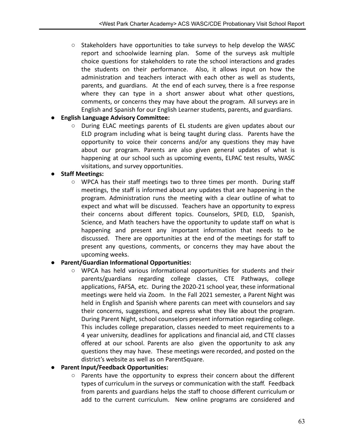$\circ$  Stakeholders have opportunities to take surveys to help develop the WASC report and schoolwide learning plan. Some of the surveys ask multiple choice questions for stakeholders to rate the school interactions and grades the students on their performance. Also, it allows input on how the administration and teachers interact with each other as well as students, parents, and guardians. At the end of each survey, there is a free response where they can type in a short answer about what other questions, comments, or concerns they may have about the program. All surveys are in English and Spanish for our English Learner students, parents, and guardians.

#### **● English Language Advisory Committee:**

During ELAC meetings parents of EL students are given updates about our ELD program including what is being taught during class. Parents have the opportunity to voice their concerns and/or any questions they may have about our program. Parents are also given general updates of what is happening at our school such as upcoming events, ELPAC test results, WASC visitations, and survey opportunities.

#### **● Staff Meetings:**

 $\circ$  WPCA has their staff meetings two to three times per month. During staff meetings, the staff is informed about any updates that are happening in the program. Administration runs the meeting with a clear outline of what to expect and what will be discussed. Teachers have an opportunity to express their concerns about different topics. Counselors, SPED, ELD, Spanish, Science, and Math teachers have the opportunity to update staff on what is happening and present any important information that needs to be discussed. There are opportunities at the end of the meetings for staff to present any questions, comments, or concerns they may have about the upcoming weeks.

#### **● Parent/Guardian Informational Opportunities:**

○ WPCA has held various informational opportunities for students and their parents/guardians regarding college classes, CTE Pathways, college applications, FAFSA, etc. During the 2020-21 school year, these informational meetings were held via Zoom. In the Fall 2021 semester, a Parent Night was held in English and Spanish where parents can meet with counselors and say their concerns, suggestions, and express what they like about the program. During Parent Night, school counselors present information regarding college. This includes college preparation, classes needed to meet requirements to a 4 year university, deadlines for applications and financial aid, and CTE classes offered at our school. Parents are also given the opportunity to ask any questions they may have. These meetings were recorded, and posted on the district's website as well as on ParentSquare.

#### **● Parent Input/Feedback Opportunities:**

○ Parents have the opportunity to express their concern about the different types of curriculum in the surveys or communication with the staff. Feedback from parents and guardians helps the staff to choose different curriculum or add to the current curriculum. New online programs are considered and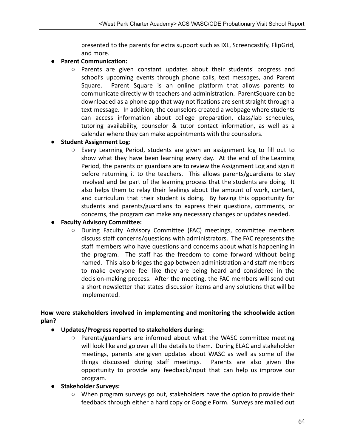presented to the parents for extra support such as IXL, Screencastify, FlipGrid, and more.

### **● Parent Communication:**

○ Parents are given constant updates about their students' progress and school's upcoming events through phone calls, text messages, and Parent Square. Parent Square is an online platform that allows parents to communicate directly with teachers and administration. ParentSquare can be downloaded as a phone app that way notifications are sent straight through a text message. In addition, the counselors created a webpage where students can access information about college preparation, class/lab schedules, tutoring availability, counselor & tutor contact information, as well as a calendar where they can make appointments with the counselors.

#### **● Student Assignment Log:**

○ Every Learning Period, students are given an assignment log to fill out to show what they have been learning every day. At the end of the Learning Period, the parents or guardians are to review the Assignment Log and sign it before returning it to the teachers. This allows parents/guardians to stay involved and be part of the learning process that the students are doing. It also helps them to relay their feelings about the amount of work, content, and curriculum that their student is doing. By having this opportunity for students and parents/guardians to express their questions, comments, or concerns, the program can make any necessary changes or updates needed.

#### **● Faculty Advisory Committee:**

○ During Faculty Advisory Committee (FAC) meetings, committee members discuss staff concerns/questions with administrators. The FAC represents the staff members who have questions and concerns about what is happening in the program. The staff has the freedom to come forward without being named. This also bridges the gap between administration and staff members to make everyone feel like they are being heard and considered in the decision-making process. After the meeting, the FAC members will send out a short newsletter that states discussion items and any solutions that will be implemented.

#### **How were stakeholders involved in implementing and monitoring the schoolwide action plan?**

#### ● **Updates/Progress reported to stakeholders during:**

 $\circ$  Parents/guardians are informed about what the WASC committee meeting will look like and go over all the details to them. During ELAC and stakeholder meetings, parents are given updates about WASC as well as some of the things discussed during staff meetings. Parents are also given the opportunity to provide any feedback/input that can help us improve our program.

#### ● **Stakeholder Surveys:**

○ When program surveys go out, stakeholders have the option to provide their feedback through either a hard copy or Google Form. Surveys are mailed out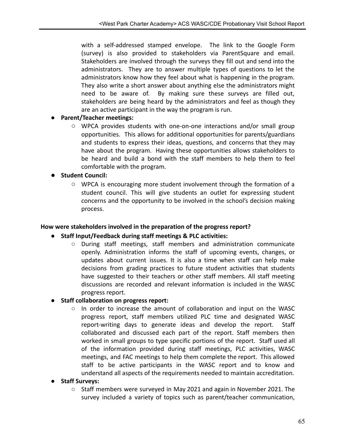with a self-addressed stamped envelope. The link to the Google Form (survey) is also provided to stakeholders via ParentSquare and email. Stakeholders are involved through the surveys they fill out and send into the administrators. They are to answer multiple types of questions to let the administrators know how they feel about what is happening in the program. They also write a short answer about anything else the administrators might need to be aware of. By making sure these surveys are filled out, stakeholders are being heard by the administrators and feel as though they are an active participant in the way the program is run.

#### **● Parent/Teacher meetings:**

○ WPCA provides students with one-on-one interactions and/or small group opportunities. This allows for additional opportunities for parents/guardians and students to express their ideas, questions, and concerns that they may have about the program. Having these opportunities allows stakeholders to be heard and build a bond with the staff members to help them to feel comfortable with the program.

#### **● Student Council:**

○ WPCA is encouraging more student involvement through the formation of a student council. This will give students an outlet for expressing student concerns and the opportunity to be involved in the school's decision making process.

#### **How were stakeholders involved in the preparation of the progress report?**

#### **● Staff Input/Feedback during staff meetings & PLC activities:**

○ During staff meetings, staff members and administration communicate openly. Administration informs the staff of upcoming events, changes, or updates about current issues. It is also a time when staff can help make decisions from grading practices to future student activities that students have suggested to their teachers or other staff members. All staff meeting discussions are recorded and relevant information is included in the WASC progress report.

#### **● Staff collaboration on progress report:**

○ In order to increase the amount of collaboration and input on the WASC progress report, staff members utilized PLC time and designated WASC report-writing days to generate ideas and develop the report. Staff collaborated and discussed each part of the report. Staff members then worked in small groups to type specific portions of the report. Staff used all of the information provided during staff meetings, PLC activities, WASC meetings, and FAC meetings to help them complete the report. This allowed staff to be active participants in the WASC report and to know and understand all aspects of the requirements needed to maintain accreditation.

#### **● Staff Surveys:**

○ Staff members were surveyed in May 2021 and again in November 2021. The survey included a variety of topics such as parent/teacher communication,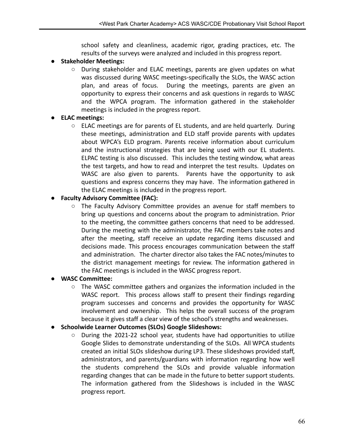school safety and cleanliness, academic rigor, grading practices, etc. The results of the surveys were analyzed and included in this progress report.

## ● **Stakeholder Meetings:**

○ During stakeholder and ELAC meetings, parents are given updates on what was discussed during WASC meetings-specifically the SLOs, the WASC action plan, and areas of focus. During the meetings, parents are given an opportunity to express their concerns and ask questions in regards to WASC and the WPCA program. The information gathered in the stakeholder meetings is included in the progress report.

## **● ELAC meetings:**

 $\circ$  ELAC meetings are for parents of EL students, and are held quarterly. During these meetings, administration and ELD staff provide parents with updates about WPCA's ELD program. Parents receive information about curriculum and the instructional strategies that are being used with our EL students. ELPAC testing is also discussed. This includes the testing window, what areas the test targets, and how to read and interpret the test results. Updates on WASC are also given to parents. Parents have the opportunity to ask questions and express concerns they may have. The information gathered in the ELAC meetings is included in the progress report.

## **● Faculty Advisory Committee (FAC):**

○ The Faculty Advisory Committee provides an avenue for staff members to bring up questions and concerns about the program to administration. Prior to the meeting, the committee gathers concerns that need to be addressed. During the meeting with the administrator, the FAC members take notes and after the meeting, staff receive an update regarding items discussed and decisions made. This process encourages communication between the staff and administration. The charter director also takes the FAC notes/minutes to the district management meetings for review. The information gathered in the FAC meetings is included in the WASC progress report.

## **● WASC Committee:**

 $\circ$  The WASC committee gathers and organizes the information included in the WASC report. This process allows staff to present their findings regarding program successes and concerns and provides the opportunity for WASC involvement and ownership. This helps the overall success of the program because it gives staff a clear view of the school's strengths and weaknesses.

## **● Schoolwide Learner Outcomes (SLOs) Google Slideshows:**

○ During the 2021-22 school year, students have had opportunities to utilize Google Slides to demonstrate understanding of the SLOs. All WPCA students created an initial SLOs slideshow during LP3. These slideshows provided staff, administrators, and parents/guardians with information regarding how well the students comprehend the SLOs and provide valuable information regarding changes that can be made in the future to better support students. The information gathered from the Slideshows is included in the WASC progress report.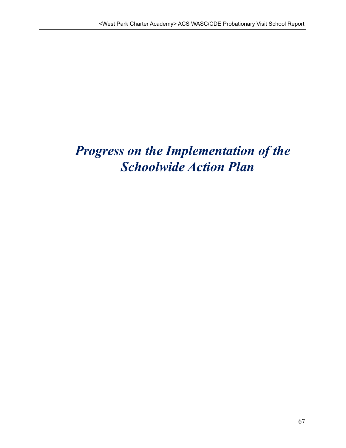# *Progress on the Implementation of the Schoolwide Action Plan*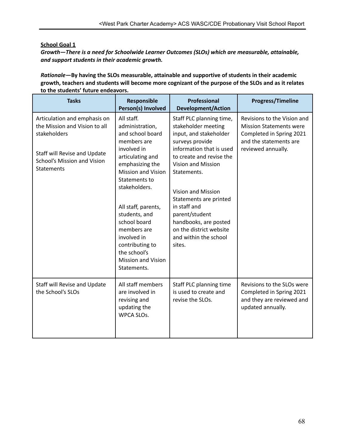#### **School Goal 1**

*Growth—There is a need for Schoolwide Learner Outcomes (SLOs) which are measurable, attainable, and support students in their academic growth.*

*Rationale—***By having the SLOs measurable, attainable and supportive of students in their academic** growth, teachers and students will become more cognizant of the purpose of the SLOs and as it relates **to the students' future endeavors.**

| <b>Tasks</b>                                                                                                                                                             | Responsible<br>Person(s) Involved                                                                                                                                                                                                                                                                                                                          | Professional<br><b>Development/Action</b>                                                                                                                                                                                                                                                                                                                                        | Progress/Timeline                                                                                                                         |
|--------------------------------------------------------------------------------------------------------------------------------------------------------------------------|------------------------------------------------------------------------------------------------------------------------------------------------------------------------------------------------------------------------------------------------------------------------------------------------------------------------------------------------------------|----------------------------------------------------------------------------------------------------------------------------------------------------------------------------------------------------------------------------------------------------------------------------------------------------------------------------------------------------------------------------------|-------------------------------------------------------------------------------------------------------------------------------------------|
| Articulation and emphasis on<br>the Mission and Vision to all<br>stakeholders<br>Staff will Revise and Update<br><b>School's Mission and Vision</b><br><b>Statements</b> | All staff.<br>administration,<br>and school board<br>members are<br>involved in<br>articulating and<br>emphasizing the<br><b>Mission and Vision</b><br>Statements to<br>stakeholders.<br>All staff, parents,<br>students, and<br>school board<br>members are<br>involved in<br>contributing to<br>the school's<br><b>Mission and Vision</b><br>Statements. | Staff PLC planning time,<br>stakeholder meeting<br>input, and stakeholder<br>surveys provide<br>information that is used<br>to create and revise the<br><b>Vision and Mission</b><br>Statements.<br><b>Vision and Mission</b><br>Statements are printed<br>in staff and<br>parent/student<br>handbooks, are posted<br>on the district website<br>and within the school<br>sites. | Revisions to the Vision and<br><b>Mission Statements were</b><br>Completed in Spring 2021<br>and the statements are<br>reviewed annually. |
| Staff will Revise and Update<br>the School's SLOs                                                                                                                        | All staff members<br>are involved in<br>revising and<br>updating the<br>WPCA SLOs.                                                                                                                                                                                                                                                                         | Staff PLC planning time<br>is used to create and<br>revise the SLOs.                                                                                                                                                                                                                                                                                                             | Revisions to the SLOs were<br>Completed in Spring 2021<br>and they are reviewed and<br>updated annually.                                  |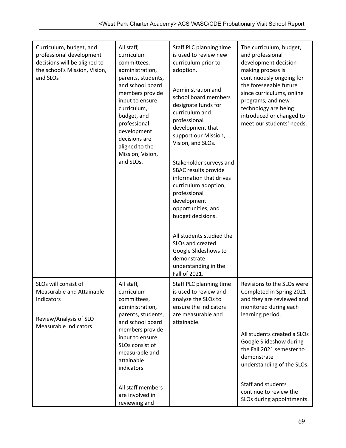| Curriculum, budget, and<br>professional development<br>decisions will be aligned to<br>the school's Mission, Vision,<br>and SLOs | All staff,<br>curriculum<br>committees,<br>administration,<br>parents, students,<br>and school board<br>members provide<br>input to ensure<br>curriculum,<br>budget, and<br>professional<br>development<br>decisions are<br>aligned to the<br>Mission, Vision,<br>and SLOs. | Staff PLC planning time<br>is used to review new<br>curriculum prior to<br>adoption.<br>Administration and<br>school board members<br>designate funds for<br>curriculum and<br>professional<br>development that<br>support our Mission,<br>Vision, and SLOs.<br>Stakeholder surveys and<br>SBAC results provide<br>information that drives<br>curriculum adoption,<br>professional<br>development<br>opportunities, and<br>budget decisions.<br>All students studied the<br>SLOs and created<br>Google Slideshows to<br>demonstrate<br>understanding in the<br>Fall of 2021. | The curriculum, budget,<br>and professional<br>development decision<br>making process is<br>continuously ongoing for<br>the foreseeable future<br>since curriculums, online<br>programs, and new<br>technology are being<br>introduced or changed to<br>meet our students' needs. |
|----------------------------------------------------------------------------------------------------------------------------------|-----------------------------------------------------------------------------------------------------------------------------------------------------------------------------------------------------------------------------------------------------------------------------|------------------------------------------------------------------------------------------------------------------------------------------------------------------------------------------------------------------------------------------------------------------------------------------------------------------------------------------------------------------------------------------------------------------------------------------------------------------------------------------------------------------------------------------------------------------------------|-----------------------------------------------------------------------------------------------------------------------------------------------------------------------------------------------------------------------------------------------------------------------------------|
| SLOs will consist of<br>Measurable and Attainable<br>Indicators<br>Review/Analysis of SLO<br>Measurable Indicators               | All staff,<br>curriculum<br>committees,<br>administration,<br>parents, students,<br>and school board<br>members provide<br>input to ensure<br>SLOs consist of<br>measurable and<br>attainable<br>indicators.                                                                | Staff PLC planning time<br>is used to review and<br>analyze the SLOs to<br>ensure the indicators<br>are measurable and<br>attainable.                                                                                                                                                                                                                                                                                                                                                                                                                                        | Revisions to the SLOs were<br>Completed in Spring 2021<br>and they are reviewed and<br>monitored during each<br>learning period.<br>All students created a SLOs<br>Google Slideshow during<br>the Fall 2021 semester to<br>demonstrate<br>understanding of the SLOs.              |
|                                                                                                                                  | All staff members<br>are involved in<br>reviewing and                                                                                                                                                                                                                       |                                                                                                                                                                                                                                                                                                                                                                                                                                                                                                                                                                              | Staff and students<br>continue to review the<br>SLOs during appointments.                                                                                                                                                                                                         |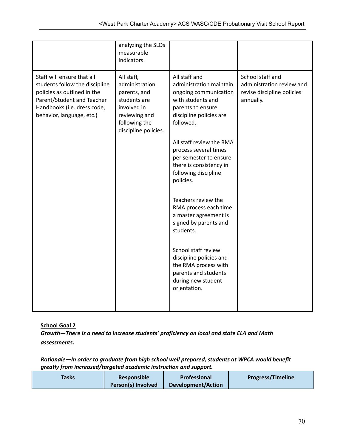|                                                                                                                                                                                       | analyzing the SLOs<br>measurable<br>indicators.                                                                                        |                                                                                                                                                                                                                                                                                                                                                                                                                                                                                                                                                           |                                                                                          |
|---------------------------------------------------------------------------------------------------------------------------------------------------------------------------------------|----------------------------------------------------------------------------------------------------------------------------------------|-----------------------------------------------------------------------------------------------------------------------------------------------------------------------------------------------------------------------------------------------------------------------------------------------------------------------------------------------------------------------------------------------------------------------------------------------------------------------------------------------------------------------------------------------------------|------------------------------------------------------------------------------------------|
| Staff will ensure that all<br>students follow the discipline<br>policies as outlined in the<br>Parent/Student and Teacher<br>Handbooks (i.e. dress code,<br>behavior, language, etc.) | All staff,<br>administration,<br>parents, and<br>students are<br>involved in<br>reviewing and<br>following the<br>discipline policies. | All staff and<br>administration maintain<br>ongoing communication<br>with students and<br>parents to ensure<br>discipline policies are<br>followed.<br>All staff review the RMA<br>process several times<br>per semester to ensure<br>there is consistency in<br>following discipline<br>policies.<br>Teachers review the<br>RMA process each time<br>a master agreement is<br>signed by parents and<br>students.<br>School staff review<br>discipline policies and<br>the RMA process with<br>parents and students<br>during new student<br>orientation. | School staff and<br>administration review and<br>revise discipline policies<br>annually. |

**School Goal 2**

*Growth—There is a need to increase students' proficiency on local and state ELA and Math assessments.*

#### *Rationale—In order to graduate from high school well prepared, students at WPCA would benefit greatly from increased/targeted academic instruction and support.*

| Tasks | Responsible        | Professional              | <b>Progress/Timeline</b> |
|-------|--------------------|---------------------------|--------------------------|
|       | Person(s) Involved | <b>Development/Action</b> |                          |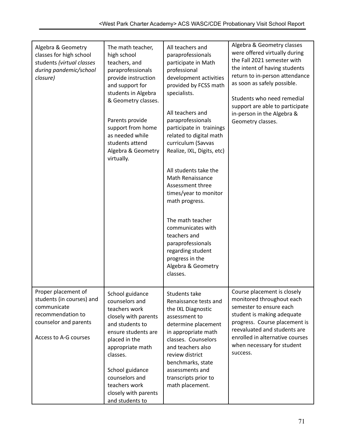| Algebra & Geometry<br>classes for high school<br>students (virtual classes<br>during pandemic/school<br>closure)                       | The math teacher,<br>high school<br>teachers, and<br>paraprofessionals<br>provide instruction<br>and support for<br>students in Algebra<br>& Geometry classes.<br>Parents provide<br>support from home<br>as needed while<br>students attend<br>Algebra & Geometry<br>virtually. | All teachers and<br>paraprofessionals<br>participate in Math<br>professional<br>development activities<br>provided by FCSS math<br>specialists.<br>All teachers and<br>paraprofessionals<br>participate in trainings<br>related to digital math<br>curriculum (Savvas<br>Realize, IXL, Digits, etc)<br>All students take the<br>Math Renaissance<br>Assessment three<br>times/year to monitor<br>math progress.<br>The math teacher<br>communicates with<br>teachers and<br>paraprofessionals<br>regarding student<br>progress in the<br>Algebra & Geometry<br>classes. | Algebra & Geometry classes<br>were offered virtually during<br>the Fall 2021 semester with<br>the intent of having students<br>return to in-person attendance<br>as soon as safely possible.<br>Students who need remedial<br>support are able to participate<br>in-person in the Algebra &<br>Geometry classes. |
|----------------------------------------------------------------------------------------------------------------------------------------|----------------------------------------------------------------------------------------------------------------------------------------------------------------------------------------------------------------------------------------------------------------------------------|-------------------------------------------------------------------------------------------------------------------------------------------------------------------------------------------------------------------------------------------------------------------------------------------------------------------------------------------------------------------------------------------------------------------------------------------------------------------------------------------------------------------------------------------------------------------------|------------------------------------------------------------------------------------------------------------------------------------------------------------------------------------------------------------------------------------------------------------------------------------------------------------------|
| Proper placement of<br>students (in courses) and<br>communicate<br>recommendation to<br>counselor and parents<br>Access to A-G courses | School guidance<br>counselors and<br>teachers work<br>closely with parents<br>and students to<br>ensure students are<br>placed in the<br>appropriate math<br>classes.<br>School guidance<br>counselors and<br>teachers work<br>closely with parents<br>and students to           | Students take<br>Renaissance tests and<br>the IXL Diagnostic<br>assessment to<br>determine placement<br>in appropriate math<br>classes. Counselors<br>and teachers also<br>review district<br>benchmarks, state<br>assessments and<br>transcripts prior to<br>math placement.                                                                                                                                                                                                                                                                                           | Course placement is closely<br>monitored throughout each<br>semester to ensure each<br>student is making adequate<br>progress. Course placement is<br>reevaluated and students are<br>enrolled in alternative courses<br>when necessary for student<br>success.                                                  |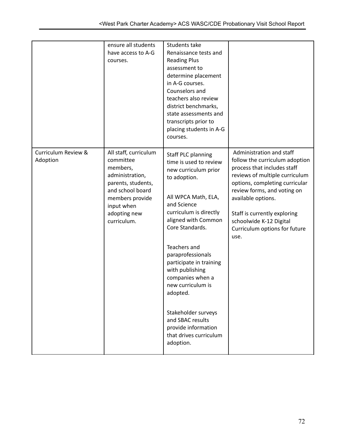|                                 | ensure all students<br>have access to A-G<br>courses.                                                                                                                       | Students take<br>Renaissance tests and<br><b>Reading Plus</b><br>assessment to<br>determine placement<br>in A-G courses.<br>Counselors and<br>teachers also review<br>district benchmarks,<br>state assessments and<br>transcripts prior to<br>placing students in A-G<br>courses.                                                                                                                                                        |                                                                                                                                                                                                                                                                                                                        |
|---------------------------------|-----------------------------------------------------------------------------------------------------------------------------------------------------------------------------|-------------------------------------------------------------------------------------------------------------------------------------------------------------------------------------------------------------------------------------------------------------------------------------------------------------------------------------------------------------------------------------------------------------------------------------------|------------------------------------------------------------------------------------------------------------------------------------------------------------------------------------------------------------------------------------------------------------------------------------------------------------------------|
| Curriculum Review &<br>Adoption | All staff, curriculum<br>committee<br>members,<br>administration,<br>parents, students,<br>and school board<br>members provide<br>input when<br>adopting new<br>curriculum. | <b>Staff PLC planning</b><br>time is used to review<br>new curriculum prior<br>to adoption.<br>All WPCA Math, ELA,<br>and Science<br>curriculum is directly<br>aligned with Common<br>Core Standards.<br>Teachers and<br>paraprofessionals<br>participate in training<br>with publishing<br>companies when a<br>new curriculum is<br>adopted.<br>Stakeholder surveys<br>and SBAC results<br>provide information<br>that drives curriculum | Administration and staff<br>follow the curriculum adoption<br>process that includes staff<br>reviews of multiple curriculum<br>options, completing curricular<br>review forms, and voting on<br>available options.<br>Staff is currently exploring<br>schoolwide K-12 Digital<br>Curriculum options for future<br>use. |
|                                 |                                                                                                                                                                             | adoption.                                                                                                                                                                                                                                                                                                                                                                                                                                 |                                                                                                                                                                                                                                                                                                                        |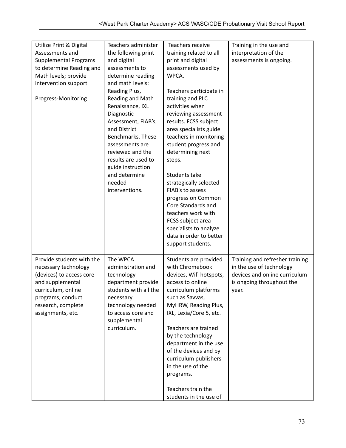| Teachers administer<br>Utilize Print & Digital<br>Teachers receive<br>Training in the use and      |  |
|----------------------------------------------------------------------------------------------------|--|
| training related to all<br>Assessments and<br>the following print<br>interpretation of the         |  |
| <b>Supplemental Programs</b><br>print and digital<br>and digital<br>assessments is ongoing.        |  |
| to determine Reading and<br>assessments used by<br>assessments to                                  |  |
| Math levels; provide<br>WPCA.<br>determine reading                                                 |  |
| intervention support<br>and math levels:                                                           |  |
| Reading Plus,<br>Teachers participate in                                                           |  |
| Reading and Math<br>training and PLC<br>Progress-Monitoring                                        |  |
| Renaissance, IXL<br>activities when                                                                |  |
| Diagnostic<br>reviewing assessment                                                                 |  |
| results. FCSS subject<br>Assessment, FIAB's,                                                       |  |
| and District<br>area specialists guide                                                             |  |
| Benchmarks. These<br>teachers in monitoring                                                        |  |
| student progress and<br>assessments are                                                            |  |
| reviewed and the<br>determining next                                                               |  |
| results are used to<br>steps.                                                                      |  |
| guide instruction                                                                                  |  |
| and determine<br>Students take                                                                     |  |
| needed                                                                                             |  |
| strategically selected                                                                             |  |
| interventions.<br>FIAB's to assess                                                                 |  |
| progress on Common                                                                                 |  |
| Core Standards and                                                                                 |  |
| teachers work with                                                                                 |  |
| FCSS subject area                                                                                  |  |
| specialists to analyze                                                                             |  |
| data in order to better                                                                            |  |
| support students.                                                                                  |  |
|                                                                                                    |  |
| Provide students with the<br>The WPCA<br>Students are provided<br>Training and refresher training  |  |
| with Chromebook<br>in the use of technology<br>necessary technology<br>administration and          |  |
| (devices) to access core<br>devices, Wifi hotspots,<br>devices and online curriculum<br>technology |  |
| and supplemental<br>department provide<br>access to online<br>is ongoing throughout the            |  |
| curriculum, online<br>students with all the<br>curriculum platforms<br>year.                       |  |
| such as Savvas,<br>programs, conduct<br>necessary                                                  |  |
| research, complete<br>technology needed<br>MyHRW, Reading Plus,                                    |  |
| assignments, etc.<br>to access core and<br>IXL, Lexia/Core 5, etc.                                 |  |
| supplemental                                                                                       |  |
| curriculum.<br>Teachers are trained                                                                |  |
| by the technology                                                                                  |  |
| department in the use                                                                              |  |
| of the devices and by                                                                              |  |
|                                                                                                    |  |
|                                                                                                    |  |
| curriculum publishers                                                                              |  |
| in the use of the                                                                                  |  |
| programs.                                                                                          |  |
| Teachers train the                                                                                 |  |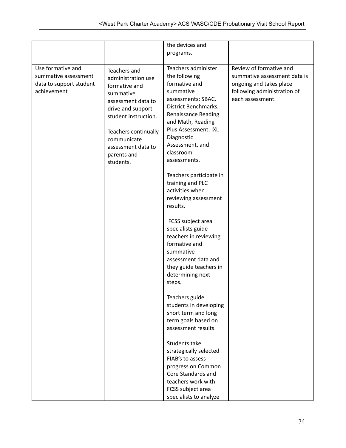|                                                                                     |                                                                                                                                                                                                                              | the devices and                                                                                                                                                                                                                                                                                                                                                                                                                                                                                                                                                                                                                                                                                                                                                                                                        |                                                                                                                                       |
|-------------------------------------------------------------------------------------|------------------------------------------------------------------------------------------------------------------------------------------------------------------------------------------------------------------------------|------------------------------------------------------------------------------------------------------------------------------------------------------------------------------------------------------------------------------------------------------------------------------------------------------------------------------------------------------------------------------------------------------------------------------------------------------------------------------------------------------------------------------------------------------------------------------------------------------------------------------------------------------------------------------------------------------------------------------------------------------------------------------------------------------------------------|---------------------------------------------------------------------------------------------------------------------------------------|
|                                                                                     |                                                                                                                                                                                                                              | programs.                                                                                                                                                                                                                                                                                                                                                                                                                                                                                                                                                                                                                                                                                                                                                                                                              |                                                                                                                                       |
|                                                                                     |                                                                                                                                                                                                                              |                                                                                                                                                                                                                                                                                                                                                                                                                                                                                                                                                                                                                                                                                                                                                                                                                        |                                                                                                                                       |
| Use formative and<br>summative assessment<br>data to support student<br>achievement | Teachers and<br>administration use<br>formative and<br>summative<br>assessment data to<br>drive and support<br>student instruction.<br>Teachers continually<br>communicate<br>assessment data to<br>parents and<br>students. | Teachers administer<br>the following<br>formative and<br>summative<br>assessments: SBAC,<br>District Benchmarks,<br><b>Renaissance Reading</b><br>and Math, Reading<br>Plus Assessment, IXL<br>Diagnostic<br>Assessment, and<br>classroom<br>assessments.<br>Teachers participate in<br>training and PLC<br>activities when<br>reviewing assessment<br>results.<br>FCSS subject area<br>specialists guide<br>teachers in reviewing<br>formative and<br>summative<br>assessment data and<br>they guide teachers in<br>determining next<br>steps.<br>Teachers guide<br>students in developing<br>short term and long<br>term goals based on<br>assessment results.<br>Students take<br>strategically selected<br>FIAB's to assess<br>progress on Common<br>Core Standards and<br>teachers work with<br>FCSS subject area | Review of formative and<br>summative assessment data is<br>ongoing and takes place<br>following administration of<br>each assessment. |
|                                                                                     |                                                                                                                                                                                                                              | specialists to analyze                                                                                                                                                                                                                                                                                                                                                                                                                                                                                                                                                                                                                                                                                                                                                                                                 |                                                                                                                                       |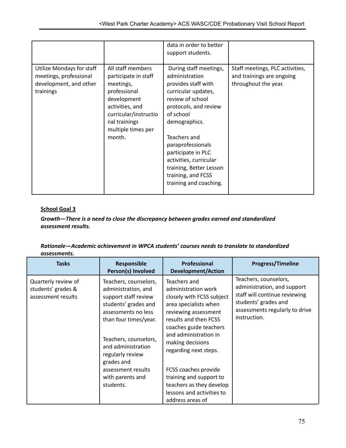|                                                                                            |                                                                                                                                                                                    | data in order to better<br>support students.                                                                                                                                                                                                                                                                                      |                                                                                      |
|--------------------------------------------------------------------------------------------|------------------------------------------------------------------------------------------------------------------------------------------------------------------------------------|-----------------------------------------------------------------------------------------------------------------------------------------------------------------------------------------------------------------------------------------------------------------------------------------------------------------------------------|--------------------------------------------------------------------------------------|
| Utilize Mondays for staff<br>meetings, professional<br>development, and other<br>trainings | All staff members<br>participate in staff<br>meetings,<br>professional<br>development<br>activities, and<br>curricular/instructio<br>nal trainings<br>multiple times per<br>month. | During staff meetings,<br>administration<br>provides staff with<br>curricular updates,<br>review of school<br>protocols, and review<br>of school<br>demographics.<br>Teachers and<br>paraprofessionals<br>participate in PLC<br>activities, curricular<br>training, Better Lesson<br>training, and FCSS<br>training and coaching. | Staff meetings, PLC activities,<br>and trainings are ongoing<br>throughout the year. |

## *Growth—There is a need to close the discrepancy between grades earned and standardized assessment results.*

#### *Rationale—Academic achievement in WPCA students' courses needs to translate to standardized assessments.*

| <b>Tasks</b>                                                    | Responsible<br>Person(s) Involved                                                                                                                                                                                             | Professional<br><b>Development/Action</b>                                                                                                                                                                                                  | <b>Progress/Timeline</b>                                                                                                                                        |
|-----------------------------------------------------------------|-------------------------------------------------------------------------------------------------------------------------------------------------------------------------------------------------------------------------------|--------------------------------------------------------------------------------------------------------------------------------------------------------------------------------------------------------------------------------------------|-----------------------------------------------------------------------------------------------------------------------------------------------------------------|
| Quarterly review of<br>students' grades &<br>assessment results | Teachers, counselors,<br>administration, and<br>support staff review<br>students' grades and<br>assessments no less<br>than four times/year.<br>Teachers, counselors,<br>and administration<br>regularly review<br>grades and | Teachers and<br>administration work<br>closely with FCSS subject<br>area specialists when<br>reviewing assessment<br>results and then FCSS<br>coaches guide teachers<br>and administration in<br>making decisions<br>regarding next steps. | Teachers, counselors,<br>administration, and support<br>staff will continue reviewing<br>students' grades and<br>assessments regularly to drive<br>instruction. |
|                                                                 | assessment results<br>with parents and<br>students.                                                                                                                                                                           | FCSS coaches provide<br>training and support to<br>teachers as they develop                                                                                                                                                                |                                                                                                                                                                 |
|                                                                 |                                                                                                                                                                                                                               | lessons and activities to<br>address areas of                                                                                                                                                                                              |                                                                                                                                                                 |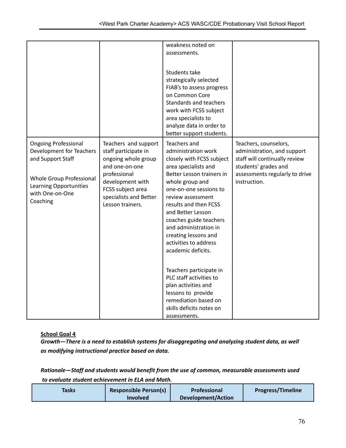|                             |                        | weakness noted on         |                                |
|-----------------------------|------------------------|---------------------------|--------------------------------|
|                             |                        | assessments.              |                                |
|                             |                        |                           |                                |
|                             |                        | Students take             |                                |
|                             |                        |                           |                                |
|                             |                        | strategically selected    |                                |
|                             |                        | FIAB's to assess progress |                                |
|                             |                        | on Common Core            |                                |
|                             |                        | Standards and teachers    |                                |
|                             |                        | work with FCSS subject    |                                |
|                             |                        | area specialists to       |                                |
|                             |                        | analyze data in order to  |                                |
|                             |                        | better support students.  |                                |
| <b>Ongoing Professional</b> | Teachers and support   | Teachers and              | Teachers, counselors,          |
| Development for Teachers    | staff participate in   | administration work       | administration, and support    |
| and Support Staff           | ongoing whole group    | closely with FCSS subject | staff will continually review  |
|                             | and one-on-one         | area specialists and      | students' grades and           |
|                             | professional           | Better Lesson trainers in | assessments regularly to drive |
| Whole Group Professional    | development with       | whole group and           | instruction.                   |
| Learning Opportunities      | FCSS subject area      | one-on-one sessions to    |                                |
| with One-on-One             | specialists and Better | review assessment         |                                |
| Coaching                    | Lesson trainers.       | results and then FCSS     |                                |
|                             |                        | and Better Lesson         |                                |
|                             |                        | coaches guide teachers    |                                |
|                             |                        | and administration in     |                                |
|                             |                        | creating lessons and      |                                |
|                             |                        | activities to address     |                                |
|                             |                        | academic deficits.        |                                |
|                             |                        |                           |                                |
|                             |                        |                           |                                |
|                             |                        | Teachers participate in   |                                |
|                             |                        | PLC staff activities to   |                                |
|                             |                        | plan activities and       |                                |
|                             |                        | lessons to provide        |                                |
|                             |                        | remediation based on      |                                |
|                             |                        | skills deficits notes on  |                                |
|                             |                        | assessments.              |                                |

*Growth—There is a need to establish systems for disaggregating and analyzing student data, as well as modifying instructional practice based on data.*

*Rationale—Staff and students would benefit from the use of common, measurable assessments used to evaluate student achievement in ELA and Math.*

| Tasks | <b>Responsible Person(s)</b> | <b>Professional</b>       | <b>Progress/Timeline</b> |
|-------|------------------------------|---------------------------|--------------------------|
|       | <b>Involved</b>              | <b>Development/Action</b> |                          |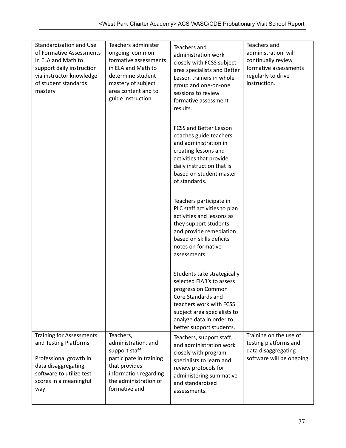| Standardization and Use<br>of Formative Assessments<br>in ELA and Math to<br>support daily instruction<br>via instructor knowledge<br>of student standards<br>mastery  | Teachers administer<br>ongoing common<br>formative assessments<br>in ELA and Math to<br>determine student<br>mastery of subject<br>area content and to<br>guide instruction. | Teachers and<br>administration work<br>closely with FCSS subject<br>area specialists and Better<br>Lesson trainers in whole<br>group and one-on-one<br>sessions to review<br>formative assessment<br>results.          | Teachers and<br>administration will<br>continually review<br>formative assessments<br>regularly to drive<br>instruction. |
|------------------------------------------------------------------------------------------------------------------------------------------------------------------------|------------------------------------------------------------------------------------------------------------------------------------------------------------------------------|------------------------------------------------------------------------------------------------------------------------------------------------------------------------------------------------------------------------|--------------------------------------------------------------------------------------------------------------------------|
|                                                                                                                                                                        |                                                                                                                                                                              | <b>FCSS and Better Lesson</b><br>coaches guide teachers<br>and administration in<br>creating lessons and<br>activities that provide<br>daily instruction that is<br>based on student master<br>of standards.           |                                                                                                                          |
|                                                                                                                                                                        |                                                                                                                                                                              | Teachers participate in<br>PLC staff activities to plan<br>activities and lessons as<br>they support students<br>and provide remediation<br>based on skills deficits<br>notes on formative<br>assessments.             |                                                                                                                          |
|                                                                                                                                                                        |                                                                                                                                                                              | Students take strategically<br>selected FIAB's to assess<br>progress on Common<br>Core Standards and<br>teachers work with FCSS<br>subject area specialists to<br>analyze data in order to<br>better support students. |                                                                                                                          |
| <b>Training for Assessments</b><br>and Testing Platforms<br>Professional growth in<br>data disaggregating<br>software to utilize test<br>scores in a meaningful<br>way | Teachers,<br>administration, and<br>support staff<br>participate in training<br>that provides<br>information regarding<br>the administration of<br>formative and             | Teachers, support staff,<br>and administration work<br>closely with program<br>specialists to learn and<br>review protocols for<br>administering summative<br>and standardized<br>assessments.                         | Training on the use of<br>testing platforms and<br>data disaggregating<br>software will be ongoing.                      |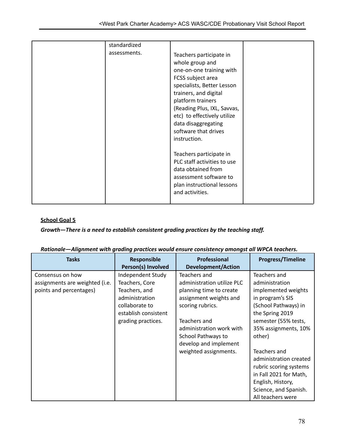| standardized |                                                                                                                                                                                                                                                                                                      |  |
|--------------|------------------------------------------------------------------------------------------------------------------------------------------------------------------------------------------------------------------------------------------------------------------------------------------------------|--|
| assessments. | Teachers participate in<br>whole group and<br>one-on-one training with<br>FCSS subject area<br>specialists, Better Lesson<br>trainers, and digital<br>platform trainers<br>(Reading Plus, IXL, Savvas,<br>etc) to effectively utilize<br>data disaggregating<br>software that drives<br>instruction. |  |
|              | Teachers participate in<br>PLC staff activities to use<br>data obtained from<br>assessment software to<br>plan instructional lessons<br>and activities.                                                                                                                                              |  |

# *Growth—There is a need to establish consistent grading practices by the teaching staff.*

| <b>Tasks</b>                                                                  | Responsible<br>Person(s) Involved                                                                                                      | <b>Professional</b><br><b>Development/Action</b>                                                                                                                                                                                        | <b>Progress/Timeline</b>                                                                                                                                                                                                                                                                          |
|-------------------------------------------------------------------------------|----------------------------------------------------------------------------------------------------------------------------------------|-----------------------------------------------------------------------------------------------------------------------------------------------------------------------------------------------------------------------------------------|---------------------------------------------------------------------------------------------------------------------------------------------------------------------------------------------------------------------------------------------------------------------------------------------------|
| Consensus on how<br>assignments are weighted (i.e.<br>points and percentages) | Independent Study<br>Teachers, Core<br>Teachers, and<br>administration<br>collaborate to<br>establish consistent<br>grading practices. | Teachers and<br>administration utilize PLC<br>planning time to create<br>assignment weights and<br>scoring rubrics.<br>Teachers and<br>administration work with<br>School Pathways to<br>develop and implement<br>weighted assignments. | Teachers and<br>administration<br>implemented weights<br>in program's SIS<br>(School Pathways) in<br>the Spring 2019<br>semester (55% tests,<br>35% assignments, 10%<br>other)<br>Teachers and<br>administration created<br>rubric scoring systems<br>in Fall 2021 for Math,<br>English, History, |
|                                                                               |                                                                                                                                        |                                                                                                                                                                                                                                         | Science, and Spanish.<br>All teachers were                                                                                                                                                                                                                                                        |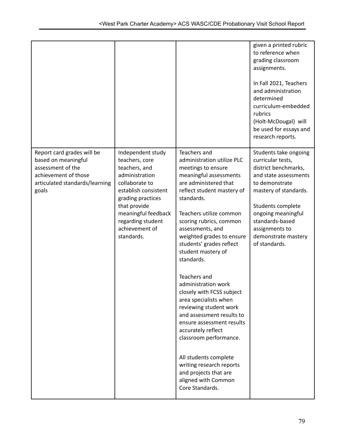|                                                                                                                                           |                                                                                                                                                                                                                                   |                                                                                                                                                                                                                                                                                                                                                                                                                                                                                                                                                                                                                                                                                                 | given a printed rubric<br>to reference when<br>grading classroom<br>assignments.<br>In Fall 2021, Teachers<br>and administration<br>determined<br>curriculum-embedded<br>rubrics<br>(Holt-McDougal) will<br>be used for essays and<br>research reports.        |
|-------------------------------------------------------------------------------------------------------------------------------------------|-----------------------------------------------------------------------------------------------------------------------------------------------------------------------------------------------------------------------------------|-------------------------------------------------------------------------------------------------------------------------------------------------------------------------------------------------------------------------------------------------------------------------------------------------------------------------------------------------------------------------------------------------------------------------------------------------------------------------------------------------------------------------------------------------------------------------------------------------------------------------------------------------------------------------------------------------|----------------------------------------------------------------------------------------------------------------------------------------------------------------------------------------------------------------------------------------------------------------|
| Report card grades will be<br>based on meaningful<br>assessment of the<br>achievement of those<br>articulated standards/learning<br>goals | Independent study<br>teachers, core<br>teachers, and<br>administration<br>collaborate to<br>establish consistent<br>grading practices<br>that provide<br>meaningful feedback<br>regarding student<br>achievement of<br>standards. | Teachers and<br>administration utilize PLC<br>meetings to ensure<br>meaningful assessments<br>are administered that<br>reflect student mastery of<br>standards.<br>Teachers utilize common<br>scoring rubrics, common<br>assessments, and<br>weighted grades to ensure<br>students' grades reflect<br>student mastery of<br>standards.<br>Teachers and<br>administration work<br>closely with FCSS subject<br>area specialists when<br>reviewing student work<br>and assessment results to<br>ensure assessment results<br>accurately reflect<br>classroom performance.<br>All students complete<br>writing research reports<br>and projects that are<br>aligned with Common<br>Core Standards. | Students take ongoing<br>curricular tests,<br>district benchmarks,<br>and state assessments<br>to demonstrate<br>mastery of standards.<br>Students complete<br>ongoing meaningful<br>standards-based<br>assignments to<br>demonstrate mastery<br>of standards. |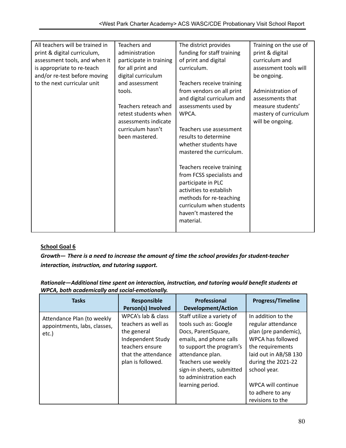| All teachers will be trained in | Teachers and            | The district provides      | Training on the use of |
|---------------------------------|-------------------------|----------------------------|------------------------|
| print & digital curriculum,     | administration          | funding for staff training | print & digital        |
| assessment tools, and when it   | participate in training | of print and digital       | curriculum and         |
| is appropriate to re-teach      | for all print and       | curriculum.                | assessment tools will  |
| and/or re-test before moving    | digital curriculum      |                            | be ongoing.            |
| to the next curricular unit     | and assessment          | Teachers receive training  |                        |
|                                 | tools.                  | from vendors on all print  | Administration of      |
|                                 |                         | and digital curriculum and | assessments that       |
|                                 | Teachers reteach and    | assessments used by        | measure students'      |
|                                 | retest students when    | WPCA.                      | mastery of curriculum  |
|                                 | assessments indicate    |                            | will be ongoing.       |
|                                 | curriculum hasn't       | Teachers use assessment    |                        |
|                                 | been mastered.          | results to determine       |                        |
|                                 |                         | whether students have      |                        |
|                                 |                         | mastered the curriculum.   |                        |
|                                 |                         |                            |                        |
|                                 |                         | Teachers receive training  |                        |
|                                 |                         | from FCSS specialists and  |                        |
|                                 |                         | participate in PLC         |                        |
|                                 |                         | activities to establish    |                        |
|                                 |                         | methods for re-teaching    |                        |
|                                 |                         | curriculum when students   |                        |
|                                 |                         | haven't mastered the       |                        |
|                                 |                         | material.                  |                        |
|                                 |                         |                            |                        |

*Growth— There is a need to increase the amount of time the school provides for student-teacher interaction, instruction, and tutoring support.*

| Rationale—Additional time spent on interaction, instruction, and tutoring would benefit students at |  |
|-----------------------------------------------------------------------------------------------------|--|
| WPCA, both academically and social-emotionally.                                                     |  |

| <b>Tasks</b>                                                        | <b>Responsible</b><br>Person(s) Involved                                                                                                     | Professional<br><b>Development/Action</b>                                                                                                                                                                                                               | <b>Progress/Timeline</b>                                                                                                                                                                                                               |
|---------------------------------------------------------------------|----------------------------------------------------------------------------------------------------------------------------------------------|---------------------------------------------------------------------------------------------------------------------------------------------------------------------------------------------------------------------------------------------------------|----------------------------------------------------------------------------------------------------------------------------------------------------------------------------------------------------------------------------------------|
| Attendance Plan (to weekly<br>appointments, labs, classes,<br>etc.) | WPCA's lab & class<br>teachers as well as<br>the general<br>Independent Study<br>teachers ensure<br>that the attendance<br>plan is followed. | Staff utilize a variety of<br>tools such as: Google<br>Docs, ParentSquare,<br>emails, and phone calls<br>to support the program's<br>attendance plan.<br>Teachers use weekly<br>sign-in sheets, submitted<br>to administration each<br>learning period. | In addition to the<br>regular attendance<br>plan (pre pandemic),<br>WPCA has followed<br>the requirements<br>laid out in AB/SB 130<br>during the 2021-22<br>school year.<br>WPCA will continue<br>to adhere to any<br>revisions to the |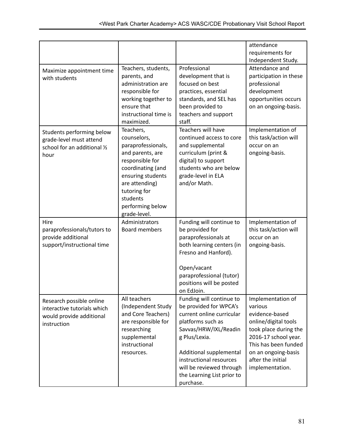|                                                                                                    |                                                                                                                                                                                                                   |                                                                                                                                                                                                                                                                             | attendance<br>requirements for<br>Independent Study.                                                                                                                                                           |
|----------------------------------------------------------------------------------------------------|-------------------------------------------------------------------------------------------------------------------------------------------------------------------------------------------------------------------|-----------------------------------------------------------------------------------------------------------------------------------------------------------------------------------------------------------------------------------------------------------------------------|----------------------------------------------------------------------------------------------------------------------------------------------------------------------------------------------------------------|
| Maximize appointment time<br>with students                                                         | Teachers, students,<br>parents, and<br>administration are<br>responsible for<br>working together to<br>ensure that<br>instructional time is<br>maximized.                                                         | Professional<br>development that is<br>focused on best<br>practices, essential<br>standards, and SEL has<br>been provided to<br>teachers and support<br>staff.                                                                                                              | Attendance and<br>participation in these<br>professional<br>development<br>opportunities occurs<br>on an ongoing-basis.                                                                                        |
| Students performing below<br>grade-level must attend<br>school for an additional 1/2<br>hour       | Teachers,<br>counselors,<br>paraprofessionals,<br>and parents, are<br>responsible for<br>coordinating (and<br>ensuring students<br>are attending)<br>tutoring for<br>students<br>performing below<br>grade-level. | Teachers will have<br>continued access to core<br>and supplemental<br>curriculum (print &<br>digital) to support<br>students who are below<br>grade-level in ELA<br>and/or Math.                                                                                            | Implementation of<br>this task/action will<br>occur on an<br>ongoing-basis.                                                                                                                                    |
| Hire<br>paraprofessionals/tutors to<br>provide additional<br>support/instructional time            | Administrators<br><b>Board members</b>                                                                                                                                                                            | Funding will continue to<br>be provided for<br>paraprofessionals at<br>both learning centers (in<br>Fresno and Hanford).<br>Open/vacant<br>paraprofessional (tutor)<br>positions will be posted<br>on EdJoin.                                                               | Implementation of<br>this task/action will<br>occur on an<br>ongoing-basis.                                                                                                                                    |
| Research possible online<br>interactive tutorials which<br>would provide additional<br>instruction | All teachers<br>(Independent Study<br>and Core Teachers)<br>are responsible for<br>researching<br>supplemental<br>instructional<br>resources.                                                                     | Funding will continue to<br>be provided for WPCA's<br>current online curricular<br>platforms such as<br>Savvas/HRW/IXL/Readin<br>g Plus/Lexia.<br>Additional supplemental<br>instructional resources<br>will be reviewed through<br>the Learning List prior to<br>purchase. | Implementation of<br>various<br>evidence-based<br>online/digital tools<br>took place during the<br>2016-17 school year.<br>This has been funded<br>on an ongoing-basis<br>after the initial<br>implementation. |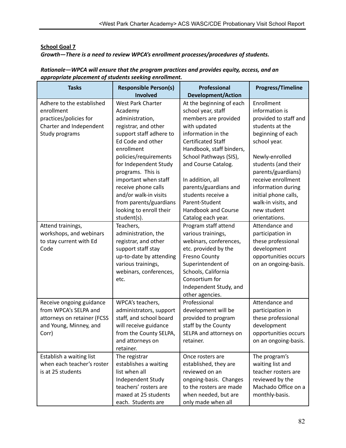*Growth—There is a need to review WPCA's enrollment processes/procedures of students.*

| <b>Tasks</b>                | <b>Responsible Person(s)</b><br><b>Involved</b> | Professional<br><b>Development/Action</b> | <b>Progress/Timeline</b>     |
|-----------------------------|-------------------------------------------------|-------------------------------------------|------------------------------|
|                             |                                                 |                                           |                              |
| Adhere to the established   | West Park Charter                               | At the beginning of each                  | Enrollment<br>information is |
| enrollment                  | Academy                                         | school year, staff                        |                              |
| practices/policies for      | administration,                                 | members are provided                      | provided to staff and        |
| Charter and Independent     | registrar, and other                            | with updated                              | students at the              |
| Study programs              | support staff adhere to                         | information in the                        | beginning of each            |
|                             | Ed Code and other                               | <b>Certificated Staff</b>                 | school year.                 |
|                             | enrollment                                      | Handbook, staff binders,                  |                              |
|                             | policies/requirements                           | School Pathways (SIS),                    | Newly-enrolled               |
|                             | for Independent Study                           | and Course Catalog.                       | students (and their          |
|                             | programs. This is                               |                                           | parents/guardians)           |
|                             | important when staff                            | In addition, all                          | receive enrollment           |
|                             | receive phone calls                             | parents/guardians and                     | information during           |
|                             | and/or walk-in visits                           | students receive a                        | initial phone calls,         |
|                             | from parents/guardians                          | Parent-Student                            | walk-in visits, and          |
|                             | looking to enroll their                         | <b>Handbook and Course</b>                | new student                  |
|                             | student(s).                                     | Catalog each year.                        | orientations.                |
| Attend trainings,           | Teachers,                                       | Program staff attend                      | Attendance and               |
| workshops, and webinars     | administration, the                             | various trainings,                        | participation in             |
| to stay current with Ed     | registrar, and other                            | webinars, conferences,                    | these professional           |
| Code                        | support staff stay                              | etc. provided by the                      | development                  |
|                             | up-to-date by attending                         | <b>Fresno County</b>                      | opportunities occurs         |
|                             | various trainings,                              | Superintendent of                         | on an ongoing-basis.         |
|                             | webinars, conferences,                          | Schools, California                       |                              |
|                             | etc.                                            | Consortium for                            |                              |
|                             |                                                 | Independent Study, and                    |                              |
|                             |                                                 | other agencies.                           |                              |
| Receive ongoing guidance    | WPCA's teachers,                                | Professional                              | Attendance and               |
| from WPCA's SELPA and       | administrators, support                         | development will be                       | participation in             |
| attorneys on retainer (FCSS | staff, and school board                         | provided to program                       | these professional           |
| and Young, Minney, and      | will receive guidance                           | staff by the County                       | development                  |
| Corr)                       | from the County SELPA,                          | SELPA and attorneys on                    | opportunities occurs         |
|                             | and attorneys on                                | retainer.                                 | on an ongoing-basis.         |
|                             | retainer.                                       |                                           |                              |
| Establish a waiting list    | The registrar                                   | Once rosters are                          | The program's                |
| when each teacher's roster  | establishes a waiting                           | established, they are                     | waiting list and             |
| is at 25 students           | list when all                                   | reviewed on an                            | teacher rosters are          |
|                             | Independent Study                               | ongoing-basis. Changes                    | reviewed by the              |
|                             | teachers' rosters are                           | to the rosters are made                   | Machado Office on a          |
|                             | maxed at 25 students                            | when needed, but are                      | monthly-basis.               |
|                             | each. Students are                              | only made when all                        |                              |

# *Rationale—WPCA will ensure that the program practices and provides equity, access, and an appropriate placement of students seeking enrollment.*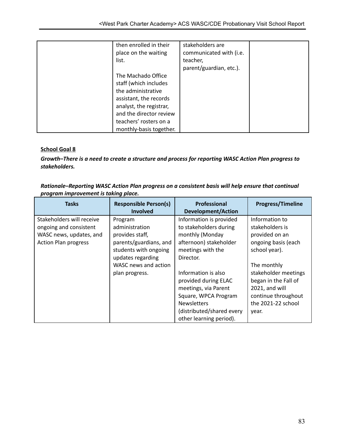| then enrolled in their<br>place on the waiting<br>list.                                                                                                                                                | stakeholders are<br>communicated with (i.e.<br>teacher,<br>parent/guardian, etc.). |  |
|--------------------------------------------------------------------------------------------------------------------------------------------------------------------------------------------------------|------------------------------------------------------------------------------------|--|
| The Machado Office<br>staff (which includes<br>the administrative<br>assistant, the records<br>analyst, the registrar,<br>and the director review<br>teachers' rosters on a<br>monthly-basis together. |                                                                                    |  |

*Growth–There is a need to create a structure and process for reporting WASC Action Plan progress to stakeholders.*

| Rationale-Reporting WASC Action Plan progress on a consistent basis will help ensure that continual |
|-----------------------------------------------------------------------------------------------------|
| program improvement is taking place.                                                                |

| <b>Tasks</b>                | <b>Responsible Person(s)</b><br><b>Involved</b> | Professional<br><b>Development/Action</b> | <b>Progress/Timeline</b> |
|-----------------------------|-------------------------------------------------|-------------------------------------------|--------------------------|
| Stakeholders will receive   | Program                                         | Information is provided                   | Information to           |
| ongoing and consistent      | administration                                  | to stakeholders during                    | stakeholders is          |
| WASC news, updates, and     | provides staff,                                 | monthly (Monday                           | provided on an           |
| <b>Action Plan progress</b> | parents/guardians, and                          | afternoon) stakeholder                    | ongoing basis (each      |
|                             | students with ongoing                           | meetings with the                         | school year).            |
|                             | updates regarding                               | Director.                                 |                          |
|                             | WASC news and action                            |                                           | The monthly              |
|                             | plan progress.                                  | Information is also                       | stakeholder meetings     |
|                             |                                                 | provided during ELAC                      | began in the Fall of     |
|                             |                                                 | meetings, via Parent                      | 2021, and will           |
|                             |                                                 | Square, WPCA Program                      | continue throughout      |
|                             |                                                 | <b>Newsletters</b>                        | the 2021-22 school       |
|                             |                                                 | (distributed/shared every                 | year.                    |
|                             |                                                 | other learning period).                   |                          |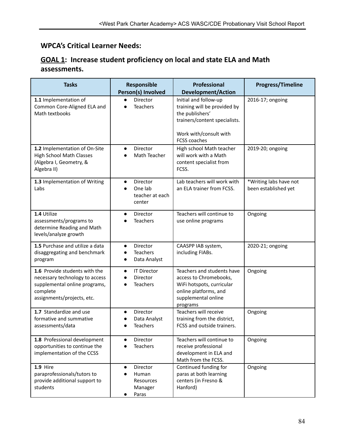# **WPCA's Critical Learner Needs:**

# **GOAL 1: Increase student proficiency on local and state ELA and Math assessments.**

| <b>Tasks</b>                                                                                                                               | Responsible<br>Person(s) Involved                              | <b>Professional</b><br><b>Development/Action</b>                                                                                                           | <b>Progress/Timeline</b>                       |
|--------------------------------------------------------------------------------------------------------------------------------------------|----------------------------------------------------------------|------------------------------------------------------------------------------------------------------------------------------------------------------------|------------------------------------------------|
| 1.1 Implementation of<br>Common Core-Aligned ELA and<br>Math textbooks                                                                     | Director<br><b>Teachers</b>                                    | Initial and follow-up<br>training will be provided by<br>the publishers'<br>trainers/content specialists.<br>Work with/consult with<br><b>FCSS coaches</b> | 2016-17; ongoing                               |
| 1.2 Implementation of On-Site<br><b>High School Math Classes</b><br>(Algebra I, Geometry, &<br>Algebra II)                                 | Director<br>$\bullet$<br>Math Teacher                          | High school Math teacher<br>will work with a Math<br>content specialist from<br>FCSS.                                                                      | 2019-20; ongoing                               |
| 1.3 Implementation of Writing<br>Labs                                                                                                      | Director<br>$\bullet$<br>One lab<br>teacher at each<br>center  | Lab teachers will work with<br>an ELA trainer from FCSS.                                                                                                   | *Writing labs have not<br>been established yet |
| 1.4 Utilize<br>assessments/programs to<br>determine Reading and Math<br>levels/analyze growth                                              | Director<br>$\bullet$<br>Teachers                              | Teachers will continue to<br>use online programs                                                                                                           | Ongoing                                        |
| 1.5 Purchase and utilize a data<br>disaggregating and benchmark<br>program                                                                 | Director<br><b>Teachers</b><br>Data Analyst                    | CAASPP IAB system,<br>including FIABs.                                                                                                                     | 2020-21; ongoing                               |
| 1.6 Provide students with the<br>necessary technology to access<br>supplemental online programs,<br>complete<br>assignments/projects, etc. | <b>IT Director</b><br>$\bullet$<br>Director<br><b>Teachers</b> | Teachers and students have<br>access to Chromebooks,<br>WiFi hotspots, curricular<br>online platforms, and<br>supplemental online<br>programs              | Ongoing                                        |
| 1.7 Standardize and use<br>formative and summative<br>assessments/data                                                                     | Director<br>$\bullet$<br>Data Analyst<br><b>Teachers</b>       | Teachers will receive<br>training from the district,<br>FCSS and outside trainers.                                                                         | Ongoing                                        |
| 1.8 Professional development<br>opportunities to continue the<br>implementation of the CCSS                                                | Director<br>$\bullet$<br><b>Teachers</b>                       | Teachers will continue to<br>receive professional<br>development in ELA and<br>Math from the FCSS.                                                         | Ongoing                                        |
| $1.9$ Hire<br>paraprofessionals/tutors to<br>provide additional support to<br>students                                                     | Director<br>Human<br>Resources<br>Manager<br>Paras             | Continued funding for<br>paras at both learning<br>centers (in Fresno &<br>Hanford)                                                                        | Ongoing                                        |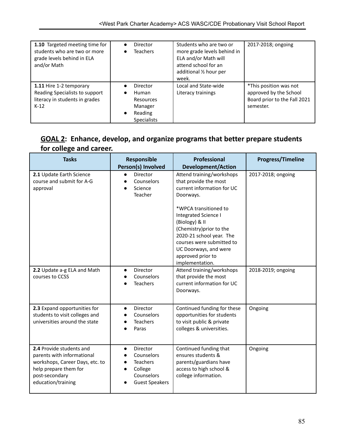| 1.10 Targeted meeting time for<br>students who are two or more<br>grade levels behind in ELA<br>and/or Math |                        | Director<br><b>Teachers</b>                                                       | Students who are two or<br>more grade levels behind in<br>ELA and/or Math will<br>attend school for an<br>additional 1/2 hour per<br>week. | 2017-2018; ongoing                                                                            |
|-------------------------------------------------------------------------------------------------------------|------------------------|-----------------------------------------------------------------------------------|--------------------------------------------------------------------------------------------------------------------------------------------|-----------------------------------------------------------------------------------------------|
| 1.11 Hire 1-2 temporary<br>Reading Specialists to support<br>literacy in students in grades<br>$K-12$       | $\bullet$<br>$\bullet$ | Director<br><b>Human</b><br>Resources<br>Manager<br>Reading<br><b>Specialists</b> | Local and State-wide<br>Literacy trainings                                                                                                 | *This position was not<br>approved by the School<br>Board prior to the Fall 2021<br>semester. |

# **GOAL 2: Enhance, develop, and organize programs that better prepare students for college and career.**

| <b>Tasks</b>                                                                                                                                               | Responsible<br>Person(s) Involved                                                                        | <b>Professional</b><br><b>Development/Action</b>                                                                                                                                                                                                                                                                              | <b>Progress/Timeline</b> |
|------------------------------------------------------------------------------------------------------------------------------------------------------------|----------------------------------------------------------------------------------------------------------|-------------------------------------------------------------------------------------------------------------------------------------------------------------------------------------------------------------------------------------------------------------------------------------------------------------------------------|--------------------------|
| 2.1 Update Earth Science<br>course and submit for A-G<br>approval                                                                                          | Director<br>$\bullet$<br>Counselors<br>Science<br>Teacher                                                | Attend training/workshops<br>that provide the most<br>current information for UC<br>Doorways.<br>*WPCA transitioned to<br><b>Integrated Science I</b><br>(Biology) & II<br>(Chemistry) prior to the<br>2020-21 school year. The<br>courses were submitted to<br>UC Doorways, and were<br>approved prior to<br>implementation. | 2017-2018; ongoing       |
| 2.2 Update a-g ELA and Math<br>courses to CCSS                                                                                                             | <b>Director</b><br>$\bullet$<br>Counselors<br><b>Teachers</b>                                            | Attend training/workshops<br>that provide the most<br>current information for UC<br>Doorways.                                                                                                                                                                                                                                 | 2018-2019; ongoing       |
| 2.3 Expand opportunities for<br>students to visit colleges and<br>universities around the state                                                            | Director<br>$\bullet$<br>Counselors<br><b>Teachers</b><br>Paras                                          | Continued funding for these<br>opportunities for students<br>to visit public & private<br>colleges & universities.                                                                                                                                                                                                            | Ongoing                  |
| 2.4 Provide students and<br>parents with informational<br>workshops, Career Days, etc. to<br>help prepare them for<br>post-secondary<br>education/training | Director<br>$\bullet$<br>Counselors<br><b>Teachers</b><br>College<br>Counselors<br><b>Guest Speakers</b> | Continued funding that<br>ensures students &<br>parents/guardians have<br>access to high school &<br>college information.                                                                                                                                                                                                     | Ongoing                  |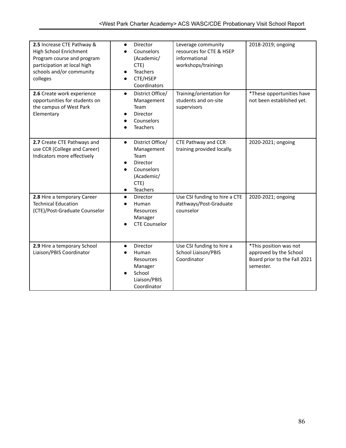| 2.5 Increase CTE Pathway &<br>High School Enrichment<br>Program course and program<br>participation at local high<br>schools and/or community<br>colleges | Director<br>$\bullet$<br>Counselors<br>(Academic/<br>CTE)<br><b>Teachers</b><br>CTE/HSEP<br>$\bullet$<br>Coordinators               | Leverage community<br>resources for CTE & HSEP<br>informational<br>workshops/trainings | 2018-2019; ongoing                                                                            |
|-----------------------------------------------------------------------------------------------------------------------------------------------------------|-------------------------------------------------------------------------------------------------------------------------------------|----------------------------------------------------------------------------------------|-----------------------------------------------------------------------------------------------|
| 2.6 Create work experience<br>opportunities for students on<br>the campus of West Park<br>Elementary                                                      | District Office/<br>$\bullet$<br>Management<br>Team<br>Director<br>Counselors<br><b>Teachers</b>                                    | Training/orientation for<br>students and on-site<br>supervisors                        | *These opportunities have<br>not been established yet.                                        |
| 2.7 Create CTE Pathways and<br>use CCR (College and Career)<br>Indicators more effectively                                                                | District Office/<br>$\bullet$<br>Management<br>Team<br>Director<br>Counselors<br>(Academic/<br>CTE)<br><b>Teachers</b><br>$\bullet$ | CTE Pathway and CCR<br>training provided locally.                                      | 2020-2021; ongoing                                                                            |
| 2.8 Hire a temporary Career<br><b>Technical Education</b><br>(CTE)/Post-Graduate Counselor                                                                | Director<br>$\bullet$<br>Human<br>Resources<br>Manager<br><b>CTE Counselor</b>                                                      | Use CSI funding to hire a CTE<br>Pathways/Post-Graduate<br>counselor                   | 2020-2021; ongoing                                                                            |
| 2.9 Hire a temporary School<br>Liaison/PBIS Coordinator                                                                                                   | Director<br>$\bullet$<br><b>Human</b><br>Resources<br>Manager<br>School<br>Liaison/PBIS<br>Coordinator                              | Use CSI funding to hire a<br>School Liaison/PBIS<br>Coordinator                        | *This position was not<br>approved by the School<br>Board prior to the Fall 2021<br>semester. |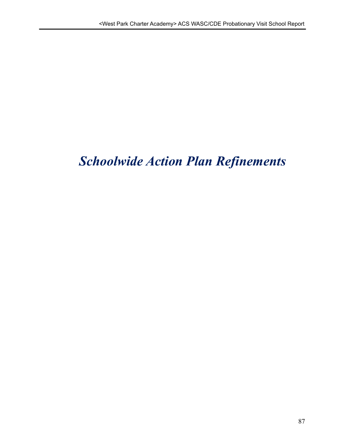# *Schoolwide Action Plan Refinements*